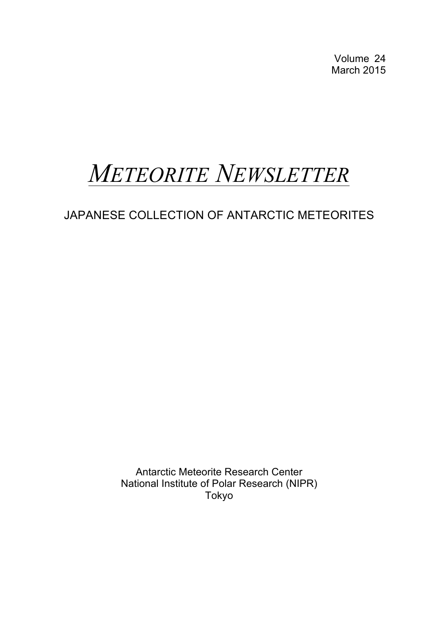Volume 24 March 2015

# *METEORITE NEWSLETTER*

JAPANESE COLLECTION OF ANTARCTIC METEORITES

Antarctic Meteorite Research Center National Institute of Polar Research (NIPR) Tokyo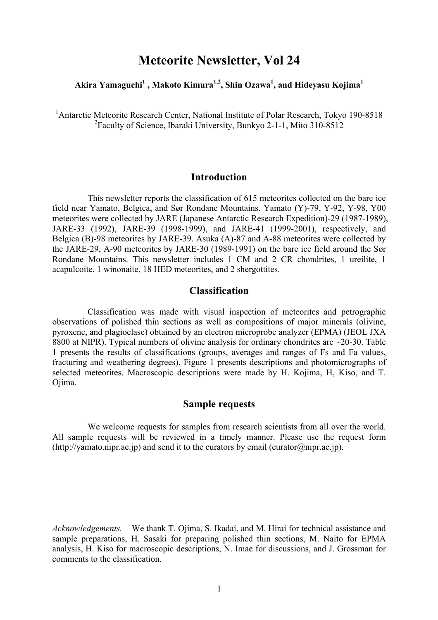# **Meteorite Newsletter, Vol 24**

# **Akira Yamaguchi1 , Makoto Kimura1,2 , Shin Ozawa1 , and Hideyasu Kojima1**

<sup>1</sup> Antarctic Meteorite Research Center, National Institute of Polar Research, Tokyo 190-8518 <sup>2</sup> Faculty of Science, Ibaraki University, Bunkyo 2-1-1, Mito 310-8512

### **Introduction**

This newsletter reports the classification of 615 meteorites collected on the bare ice field near Yamato, Belgica, and Sør Rondane Mountains. Yamato (Y)-79, Y-92, Y-98, Y00 meteorites were collected by JARE (Japanese Antarctic Research Expedition)-29 (1987-1989), JARE-33 (1992), JARE-39 (1998-1999), and JARE-41 (1999-2001), respectively, and Belgica (B)-98 meteorites by JARE-39. Asuka (A)-87 and A-88 meteorites were collected by the JARE-29, A-90 meteorites by JARE-30 (1989-1991) on the bare ice field around the Sør Rondane Mountains. This newsletter includes 1 CM and 2 CR chondrites, 1 ureilite, 1 acapulcoite, 1 winonaite, 18 HED meteorites, and 2 shergottites.

# **Classification**

Classification was made with visual inspection of meteorites and petrographic observations of polished thin sections as well as compositions of major minerals (olivine, pyroxene, and plagioclase) obtained by an electron microprobe analyzer (EPMA) (JEOL JXA 8800 at NIPR). Typical numbers of olivine analysis for ordinary chondrites are ~20-30. Table 1 presents the results of classifications (groups, averages and ranges of Fs and Fa values, fracturing and weathering degrees). Figure 1 presents descriptions and photomicrographs of selected meteorites. Macroscopic descriptions were made by H. Kojima, H, Kiso, and T. Ojima.

#### **Sample requests**

We welcome requests for samples from research scientists from all over the world. All sample requests will be reviewed in a timely manner. Please use the request form (http://yamato.nipr.ac.jp) and send it to the curators by email (curator@nipr.ac.jp).

*Acknowledgements.*We thank T. Ojima, S. Ikadai, and M. Hirai for technical assistance and sample preparations, H. Sasaki for preparing polished thin sections, M. Naito for EPMA analysis, H. Kiso for macroscopic descriptions, N. Imae for discussions, and J. Grossman for comments to the classification.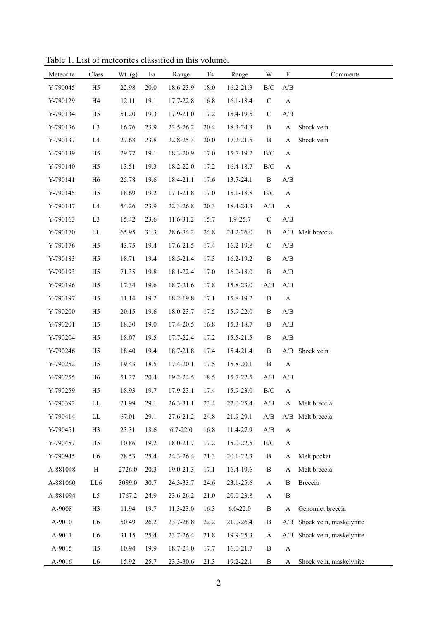| Meteorite | Class          | Wt. (g) | Fa   | Range        | Fs   | Range         | W                                                 | $\boldsymbol{\mathrm{F}}$                         | Comments                    |
|-----------|----------------|---------|------|--------------|------|---------------|---------------------------------------------------|---------------------------------------------------|-----------------------------|
| Y-790045  | H <sub>5</sub> | 22.98   | 20.0 | 18.6-23.9    | 18.0 | $16.2 - 21.3$ | $\rm B/C$                                         | A/B                                               |                             |
| Y-790129  | H4             | 12.11   | 19.1 | 17.7-22.8    | 16.8 | 16.1-18.4     | ${\bf C}$                                         | $\boldsymbol{A}$                                  |                             |
| Y-790134  | H <sub>5</sub> | 51.20   | 19.3 | 17.9-21.0    | 17.2 | 15.4-19.5     | $\mathbf C$                                       | A/B                                               |                             |
| Y-790136  | L <sub>3</sub> | 16.76   | 23.9 | 22.5-26.2    | 20.4 | 18.3-24.3     | $\, {\bf B}$                                      | $\mathbf{A}$                                      | Shock vein                  |
| Y-790137  | L4             | 27.68   | 23.8 | 22.8-25.3    | 20.0 | 17.2-21.5     | $\, {\bf B}$                                      | A                                                 | Shock vein                  |
| Y-790139  | H <sub>5</sub> | 29.77   | 19.1 | 18.3-20.9    | 17.0 | 15.7-19.2     | $\rm B/C$                                         | A                                                 |                             |
| Y-790140  | H <sub>5</sub> | 13.51   | 19.3 | 18.2-22.0    | 17.2 | 16.4-18.7     | $\rm B/C$                                         | $\boldsymbol{\rm{A}}$                             |                             |
| Y-790141  | H <sub>6</sub> | 25.78   | 19.6 | 18.4-21.1    | 17.6 | 13.7-24.1     | $\, {\bf B}$                                      | A/B                                               |                             |
| Y-790145  | H <sub>5</sub> | 18.69   | 19.2 | 17.1-21.8    | 17.0 | 15.1-18.8     | $\rm B/C$                                         | $\mathbf{A}$                                      |                             |
| Y-790147  | L4             | 54.26   | 23.9 | 22.3-26.8    | 20.3 | 18.4-24.3     | A/B                                               | $\mathbf{A}$                                      |                             |
| Y-790163  | L <sub>3</sub> | 15.42   | 23.6 | 11.6-31.2    | 15.7 | 1.9-25.7      | ${\bf C}$                                         | A/B                                               |                             |
| Y-790170  | ${\rm LL}$     | 65.95   | 31.3 | 28.6-34.2    | 24.8 | 24.2-26.0     | $\, {\bf B}$                                      |                                                   | A/B Melt breccia            |
| Y-790176  | H <sub>5</sub> | 43.75   | 19.4 | 17.6-21.5    | 17.4 | 16.2-19.8     | ${\bf C}$                                         | A/B                                               |                             |
| Y-790183  | H <sub>5</sub> | 18.71   | 19.4 | 18.5-21.4    | 17.3 | 16.2-19.2     | $\, {\bf B}$                                      | $\ensuremath{\mathrm{A}}/\ensuremath{\mathrm{B}}$ |                             |
| Y-790193  | H <sub>5</sub> | 71.35   | 19.8 | 18.1-22.4    | 17.0 | $16.0 - 18.0$ | $\, {\bf B}$                                      | A/B                                               |                             |
| Y-790196  | H <sub>5</sub> | 17.34   | 19.6 | 18.7-21.6    | 17.8 | 15.8-23.0     | A/B                                               | A/B                                               |                             |
| Y-790197  | H <sub>5</sub> | 11.14   | 19.2 | 18.2-19.8    | 17.1 | 15.8-19.2     | $\, {\bf B}$                                      | $\boldsymbol{\rm{A}}$                             |                             |
| Y-790200  | H <sub>5</sub> | 20.15   | 19.6 | 18.0-23.7    | 17.5 | 15.9-22.0     | B                                                 | A/B                                               |                             |
| Y-790201  | H <sub>5</sub> | 18.30   | 19.0 | 17.4-20.5    | 16.8 | 15.3-18.7     | B                                                 | A/B                                               |                             |
| Y-790204  | H <sub>5</sub> | 18.07   | 19.5 | 17.7-22.4    | 17.2 | 15.5-21.5     | B                                                 | $\mathbf{A}/\mathbf{B}$                           |                             |
| Y-790246  | H <sub>5</sub> | 18.40   | 19.4 | 18.7-21.8    | 17.4 | 15.4-21.4     | B                                                 |                                                   | A/B Shock vein              |
| Y-790252  | H <sub>5</sub> | 19.43   | 18.5 | 17.4-20.1    | 17.5 | 15.8-20.1     | $\, {\bf B}$                                      | $\boldsymbol{\mathsf{A}}$                         |                             |
| Y-790255  | H <sub>6</sub> | 51.27   | 20.4 | 19.2-24.5    | 18.5 | 15.7-22.5     | A/B                                               | A/B                                               |                             |
| Y-790259  | H <sub>5</sub> | 18.93   | 19.7 | 17.9-23.1    | 17.4 | 15.9-23.0     | $\rm{B/C}$                                        | $\mathbf{A}$                                      |                             |
| Y-790392  | ${\rm LL}$     | 21.99   | 29.1 | 26.3-31.1    | 23.4 | 22.0-25.4     | A/B                                               | A                                                 | Melt breccia                |
| Y-790414  | LL             | 67.01   | 29.1 | 27.6-21.2    | 24.8 | 21.9-29.1     | $\ensuremath{\mathrm{A}}/\ensuremath{\mathrm{B}}$ |                                                   | A/B Melt breccia            |
| Y-790451  | H <sub>3</sub> | 23.31   | 18.6 | $6.7 - 22.0$ | 16.8 | 11.4-27.9     | A/B                                               | $\boldsymbol{\mathsf{A}}$                         |                             |
| Y-790457  | H <sub>5</sub> | 10.86   | 19.2 | 18.0-21.7    | 17.2 | 15.0-22.5     | $\rm{B/C}$                                        | $\mathbf A$                                       |                             |
| Y-790945  | L <sub>6</sub> | 78.53   | 25.4 | 24.3-26.4    | 21.3 | 20.1-22.3     | $\, {\bf B}$                                      | $\mathbf A$                                       | Melt pocket                 |
| A-881048  | $\, {\rm H}$   | 2726.0  | 20.3 | 19.0-21.3    | 17.1 | 16.4-19.6     | $\, {\bf B}$                                      | A                                                 | Melt breccia                |
| A-881060  | LL6            | 3089.0  | 30.7 | 24.3-33.7    | 24.6 | 23.1-25.6     | $\mathbf A$                                       | $\, {\bf B}$                                      | Breccia                     |
| A-881094  | L <sub>5</sub> | 1767.2  | 24.9 | 23.6-26.2    | 21.0 | 20.0-23.8     | $\mathbf A$                                       | $\, {\bf B}$                                      |                             |
| A-9008    | H <sub>3</sub> | 11.94   | 19.7 | 11.3-23.0    | 16.3 | $6.0 - 22.0$  | B                                                 | A                                                 | Genomict breccia            |
| A-9010    | L <sub>6</sub> | 50.49   | 26.2 | 23.7-28.8    | 22.2 | 21.0-26.4     | B                                                 | A/B                                               | Shock vein, maskelynite     |
| A-9011    | L <sub>6</sub> | 31.15   | 25.4 | 23.7-26.4    | 21.8 | 19.9-25.3     | $\mathbf A$                                       |                                                   | A/B Shock vein, maskelynite |
| A-9015    | H <sub>5</sub> | 10.94   | 19.9 | 18.7-24.0    | 17.7 | 16.0-21.7     | B                                                 | $\mathbf{A}$                                      |                             |
| A-9016    | L <sub>6</sub> | 15.92   | 25.7 | 23.3-30.6    | 21.3 | 19.2-22.1     | $\, {\bf B}$                                      | A                                                 | Shock vein, maskelynite     |

Table 1. List of meteorites classified in this volume.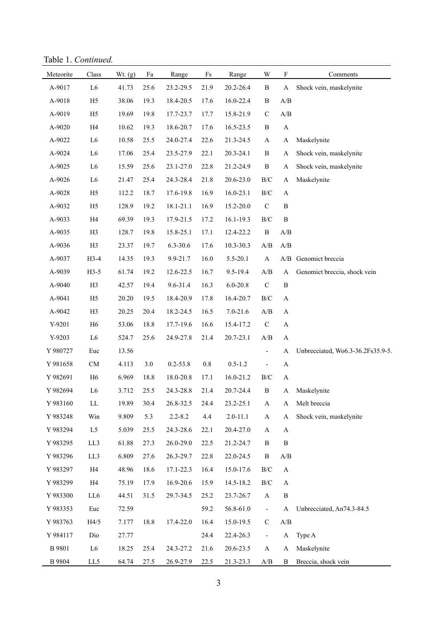Table 1. *Continued.*

| Meteorite     | Class                  | Wt. (g) | Fa   | Range        | Fs      | Range         | W                                                 | $\mathbf F$               | Comments                          |
|---------------|------------------------|---------|------|--------------|---------|---------------|---------------------------------------------------|---------------------------|-----------------------------------|
| A-9017        | L <sub>6</sub>         | 41.73   | 25.6 | 23.2-29.5    | 21.9    | 20.2-26.4     | $\, {\bf B}$                                      | A                         | Shock vein, maskelynite           |
| A-9018        | H <sub>5</sub>         | 38.06   | 19.3 | 18.4-20.5    | 17.6    | 16.0-22.4     | $\, {\bf B}$                                      | A/B                       |                                   |
| A-9019        | H <sub>5</sub>         | 19.69   | 19.8 | 17.7-23.7    | 17.7    | 15.8-21.9     | $\mathbf C$                                       | A/B                       |                                   |
| A-9020        | H4                     | 10.62   | 19.3 | 18.6-20.7    | 17.6    | 16.5-23.5     | $\, {\bf B}$                                      | $\boldsymbol{\rm{A}}$     |                                   |
| A-9022        | L <sub>6</sub>         | 10.58   | 25.5 | 24.0-27.4    | 22.6    | 21.3-24.5     | $\mathbf{A}$                                      | A                         | Maskelynite                       |
| A-9024        | L <sub>6</sub>         | 17.06   | 25.4 | 23.5-27.9    | 22.1    | 20.3-24.1     | $\, {\bf B}$                                      | A                         | Shock vein, maskelynite           |
| A-9025        | L <sub>6</sub>         | 15.59   | 25.6 | 23.1-27.0    | 22.8    | 21.2-24.9     | $\, {\bf B}$                                      | A                         | Shock vein, maskelynite           |
| A-9026        | L <sub>6</sub>         | 21.47   | 25.4 | 24.3-28.4    | 21.8    | 20.6-23.0     | $\rm{B/C}$                                        | A                         | Maskelynite                       |
| A-9028        | H <sub>5</sub>         | 112.2   | 18.7 | 17.6-19.8    | 16.9    | 16.0-23.1     | $\rm{B/C}$                                        | $\boldsymbol{\rm{A}}$     |                                   |
| A-9032        | H <sub>5</sub>         | 128.9   | 19.2 | 18.1-21.1    | 16.9    | 15.2-20.0     | $\mathbf C$                                       | $\, {\bf B}$              |                                   |
| A-9033        | H4                     | 69.39   | 19.3 | 17.9-21.5    | 17.2    | $16.1 - 19.3$ | $\rm B/C$                                         | $\, {\bf B}$              |                                   |
| A-9035        | H <sub>3</sub>         | 128.7   | 19.8 | 15.8-25.1    | 17.1    | 12.4-22.2     | $\, {\bf B}$                                      | A/B                       |                                   |
| A-9036        | H <sub>3</sub>         | 23.37   | 19.7 | 6.3-30.6     | 17.6    | 10.3-30.3     | $\ensuremath{\mathrm{A}}/\ensuremath{\mathrm{B}}$ | A/B                       |                                   |
| A-9037        | $H3-4$                 | 14.35   | 19.3 | 9.9-21.7     | 16.0    | 5.5-20.1      | $\mathbf{A}$                                      |                           | A/B Genomict breccia              |
| A-9039        | $H3-5$                 | 61.74   | 19.2 | 12.6-22.5    | 16.7    | 9.5-19.4      | A/B                                               | $\mathbf{A}$              | Genomict breccia, shock vein      |
| A-9040        | H <sub>3</sub>         | 42.57   | 19.4 | 9.6-31.4     | 16.3    | $6.0 - 20.8$  | ${\bf C}$                                         | $\, {\bf B}$              |                                   |
| A-9041        | H <sub>5</sub>         | 20.20   | 19.5 | 18.4-20.9    | 17.8    | 16.4-20.7     | $\rm B/C$                                         | $\boldsymbol{\rm{A}}$     |                                   |
| A-9042        | H <sub>3</sub>         | 20.25   | 20.4 | 18.2-24.5    | 16.5    | $7.0 - 21.6$  | $\mathbf{A}/\mathbf{B}$                           | $\mathbf A$               |                                   |
| Y-9201        | H <sub>6</sub>         | 53.06   | 18.8 | 17.7-19.6    | 16.6    | 15.4-17.2     | $\mathbf C$                                       | $\boldsymbol{\mathsf{A}}$ |                                   |
| Y-9203        | L <sub>6</sub>         | 524.7   | 25.6 | 24.9-27.8    | 21.4    | 20.7-23.1     | $\ensuremath{\mathrm{A}}/\ensuremath{\mathrm{B}}$ | $\boldsymbol{\rm{A}}$     |                                   |
| Y 980727      | Euc                    | 13.56   |      |              |         |               | $\overline{\phantom{0}}$                          | A                         | Unbrecciated, Wo6.3-36.2Fs35.9-5. |
| Y 981658      | ${\rm CM}$             | 4.113   | 3.0  | $0.2 - 53.8$ | $0.8\,$ | $0.5 - 1.2$   | $\qquad \qquad \blacksquare$                      | $\boldsymbol{\rm{A}}$     |                                   |
| Y 982691      | H <sub>6</sub>         | 6.969   | 18.8 | 18.0-20.8    | 17.1    | 16.0-21.2     | $\rm B/C$                                         | $\boldsymbol{\rm{A}}$     |                                   |
| Y 982694      | L6                     | 3.712   | 25.5 | 24.3-28.8    | 21.4    | 20.7-24.4     | $\, {\bf B}$                                      | A                         | Maskelynite                       |
| Y 983160      | $\mathbf{L}\mathbf{L}$ | 19.89   | 30.4 | 26.8-32.5    | 24.4    | 23.2-25.1     | A                                                 | A                         | Melt breccia                      |
| Y 983248      | Win                    | 9.809   | 5.3  | $2.2 - 8.2$  | 4.4     | $2.0 - 11.1$  | $\mathbf{A}$                                      | A                         | Shock vein, maskelynite           |
| Y 983294      | L5                     | 5.039   | 25.5 | 24.3-28.6    | 22.1    | 20.4-27.0     | $\mathbf{A}$                                      | A                         |                                   |
| Y 983295      | LL3                    | 61.88   | 27.3 | 26.0-29.0    | 22.5    | 21.2-24.7     | B                                                 | B                         |                                   |
| Y 983296      | LL3                    | 6.809   | 27.6 | 26.3-29.7    | 22.8    | 22.0-24.5     | $\, {\bf B}$                                      | A/B                       |                                   |
| Y 983297      | H4                     | 48.96   | 18.6 | 17.1-22.3    | 16.4    | 15.0-17.6     | $\rm B/C$                                         | $\mathbf{A}$              |                                   |
| Y 983299      | H4                     | 75.19   | 17.9 | 16.9-20.6    | 15.9    | 14.5-18.2     | $\rm{B/C}$                                        | $\mathbf{A}$              |                                   |
| Y 983300      | LL6                    | 44.51   | 31.5 | 29.7-34.5    | 25.2    | 23.7-26.7     | $\mathbf{A}$                                      | $\, {\bf B}$              |                                   |
| Y 983353      | Euc                    | 72.59   |      |              | 59.2    | 56.8-61.0     | $\blacksquare$                                    | $\mathbf{A}$              | Unbrecciated, An74.3-84.5         |
| Y 983763      | H4/5                   | 7.177   | 18.8 | 17.4-22.0    | 16.4    | 15.0-19.5     | $\mathcal{C}$                                     | A/B                       |                                   |
| Y 984117      | Dio                    | 27.77   |      |              | 24.4    | 22.4-26.3     | $\overline{\phantom{a}}$                          | A                         | Type A                            |
| <b>B</b> 9801 | L <sub>6</sub>         | 18.25   | 25.4 | 24.3-27.2    | 21.6    | 20.6-23.5     | $\mathbf{A}$                                      | A                         | Maskelynite                       |
| <b>B</b> 9804 | LL5                    | 64.74   | 27.5 | 26.9-27.9    | 22.5    | 21.3-23.3     | A/B                                               | $\mathbf B$               | Breccia, shock vein               |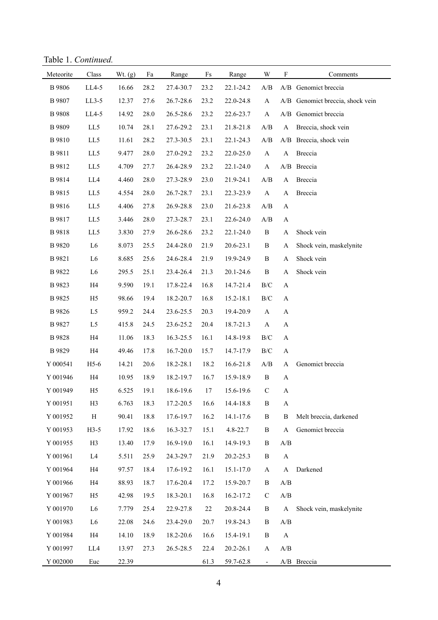Table 1. *Continued.*

| Meteorite          | Class          | Wt. (g) | Fa       | Range     | $\mathop{\text{Fs}}$ | Range     | W                        | $\boldsymbol{\mathrm{F}}$                         | Comments                         |
|--------------------|----------------|---------|----------|-----------|----------------------|-----------|--------------------------|---------------------------------------------------|----------------------------------|
| <b>B</b> 9806      | $LL4-5$        | 16.66   | 28.2     | 27.4-30.7 | 23.2                 | 22.1-24.2 | A/B                      |                                                   | A/B Genomict breccia             |
| B 9807             | $LL3-5$        | 12.37   | 27.6     | 26.7-28.6 | 23.2                 | 22.0-24.8 | $\mathbf{A}$             |                                                   | A/B Genomict breccia, shock vein |
| <b>B</b> 9808      | $LL4-5$        | 14.92   | 28.0     | 26.5-28.6 | 23.2                 | 22.6-23.7 | A                        | A/B                                               | Genomict breccia                 |
| B 9809             | LL5            | 10.74   | 28.1     | 27.6-29.2 | 23.1                 | 21.8-21.8 | A/B                      | $\boldsymbol{\rm{A}}$                             | Breccia, shock vein              |
| B 9810             | LL5            | 11.61   | 28.2     | 27.3-30.5 | 23.1                 | 22.1-24.3 | A/B                      |                                                   | A/B Breccia, shock vein          |
| B 9811             | LL5            | 9.477   | 28.0     | 27.0-29.2 | 23.2                 | 22.0-25.0 | $\mathbf{A}$             | $\mathbf{A}$                                      | Breccia                          |
| B 9812             | LL5            | 4.709   | 27.7     | 26.4-28.9 | 23.2                 | 22.1-24.0 | $\mathbf{A}$             |                                                   | A/B Breccia                      |
| B 9814             | LL4            | 4.460   | 28.0     | 27.3-28.9 | 23.0                 | 21.9-24.1 | A/B                      | $\mathbf{A}$                                      | Breccia                          |
| B 9815             | LL5            | 4.554   | $28.0\,$ | 26.7-28.7 | 23.1                 | 22.3-23.9 | $\mathbf{A}$             | A                                                 | Breccia                          |
| B 9816             | LL5            | 4.406   | 27.8     | 26.9-28.8 | 23.0                 | 21.6-23.8 | A/B                      | $\mathbf A$                                       |                                  |
| B 9817             | LL5            | 3.446   | 28.0     | 27.3-28.7 | 23.1                 | 22.6-24.0 | A/B                      | A                                                 |                                  |
| B 9818             | LL5            | 3.830   | 27.9     | 26.6-28.6 | 23.2                 | 22.1-24.0 | $\, {\bf B}$             | A                                                 | Shock vein                       |
| B 9820             | L <sub>6</sub> | 8.073   | 25.5     | 24.4-28.0 | 21.9                 | 20.6-23.1 | $\, {\bf B}$             | A                                                 | Shock vein, maskelynite          |
| B 9821             | L <sub>6</sub> | 8.685   | 25.6     | 24.6-28.4 | 21.9                 | 19.9-24.9 | $\, {\bf B}$             | A                                                 | Shock vein                       |
| B 9822             | L <sub>6</sub> | 295.5   | 25.1     | 23.4-26.4 | 21.3                 | 20.1-24.6 | $\, {\bf B}$             | A                                                 | Shock vein                       |
| B 9823             | H4             | 9.590   | 19.1     | 17.8-22.4 | 16.8                 | 14.7-21.4 | $\rm B/C$                | A                                                 |                                  |
| B 9825             | H <sub>5</sub> | 98.66   | 19.4     | 18.2-20.7 | 16.8                 | 15.2-18.1 | $\rm B/C$                | A                                                 |                                  |
| B 9826             | L <sub>5</sub> | 959.2   | 24.4     | 23.6-25.5 | 20.3                 | 19.4-20.9 | $\mathbf{A}$             | A                                                 |                                  |
| B 9827             | L5             | 415.8   | 24.5     | 23.6-25.2 | 20.4                 | 18.7-21.3 | $\mathbf{A}$             | $\mathbf A$                                       |                                  |
| B 9828             | H4             | 11.06   | 18.3     | 16.3-25.5 | 16.1                 | 14.8-19.8 | $\rm B/C$                | $\mathbf A$                                       |                                  |
| B 9829             | H4             | 49.46   | 17.8     | 16.7-20.0 | 15.7                 | 14.7-17.9 | $\rm B/C$                | $\mathbf A$                                       |                                  |
| Y 000541           | $H5-6$         | 14.21   | 20.6     | 18.2-28.1 | 18.2                 | 16.6-21.8 | A/B                      | A                                                 | Genomict breccia                 |
| Y 001946           | H4             | 10.95   | 18.9     | 18.2-19.7 | 16.7                 | 15.9-18.9 | $\, {\bf B}$             | A                                                 |                                  |
| Y 001949           | H <sub>5</sub> | 6.525   | 19.1     | 18.6-19.6 | 17                   | 15.6-19.6 | $\mathbf C$              | $\mathbf A$                                       |                                  |
| Y 001951           | H <sub>3</sub> | 6.763   | 18.3     | 17.2-20.5 | 16.6                 | 14.4-18.8 | $\, {\bf B}$             | A                                                 |                                  |
| Y 001952           | $\mathbf H$    | 90.41   | 18.8     | 17.6-19.7 | 16.2                 | 14.1-17.6 | $\, {\bf B}$             | $\, {\bf B}$                                      | Melt breccia, darkened           |
| Y 001953           | $H3-5$         | 17.92   | 18.6     | 16.3-32.7 | 15.1                 | 4.8-22.7  | $\, {\bf B}$             | $\mathbf A$                                       | Genomict breccia                 |
| Y 001955           | H3             | 13.40   | 17.9     | 16.9-19.0 | 16.1                 | 14.9-19.3 | $\, {\bf B}$             | A/B                                               |                                  |
| Y 001961           | L <sub>4</sub> | 5.511   | 25.9     | 24.3-29.7 | 21.9                 | 20.2-25.3 | $\, {\bf B}$             | $\mathbf{A}$                                      |                                  |
| Y 001964           | H <sub>4</sub> | 97.57   | 18.4     | 17.6-19.2 | 16.1                 | 15.1-17.0 | $\mathbf{A}$             | $\mathbf A$                                       | Darkened                         |
| Y 001966           | H4             | 88.93   | 18.7     | 17.6-20.4 | 17.2                 | 15.9-20.7 | B                        | $\ensuremath{\mathrm{A}}/\ensuremath{\mathrm{B}}$ |                                  |
| Y 001967           | H <sub>5</sub> | 42.98   | 19.5     | 18.3-20.1 | 16.8                 | 16.2-17.2 | $\mathbf C$              | $\ensuremath{\mathrm{A}}/\ensuremath{\mathrm{B}}$ |                                  |
| Y 001970           | L <sub>6</sub> | 7.779   | 25.4     | 22.9-27.8 | 22                   | 20.8-24.4 | $\, {\bf B}$             | $\boldsymbol{\rm{A}}$                             | Shock vein, maskelynite          |
| Y 001983           | L <sub>6</sub> | 22.08   | 24.6     | 23.4-29.0 | 20.7                 | 19.8-24.3 | B                        | A/B                                               |                                  |
| Y 001984           | H4             | 14.10   | 18.9     | 18.2-20.6 | 16.6                 | 15.4-19.1 | $\, {\bf B}$             | $\mathbf{A}$                                      |                                  |
| Y 001997           | LL4            | 13.97   | 27.3     | 26.5-28.5 | 22.4                 | 20.2-26.1 | $\mathbf{A}$             | $\mathbf{A}/\mathbf{B}$                           |                                  |
| $\mathbf Y$ 002000 | Euc            | 22.39   |          |           | 61.3                 | 59.7-62.8 | $\overline{\phantom{0}}$ |                                                   | A/B Breccia                      |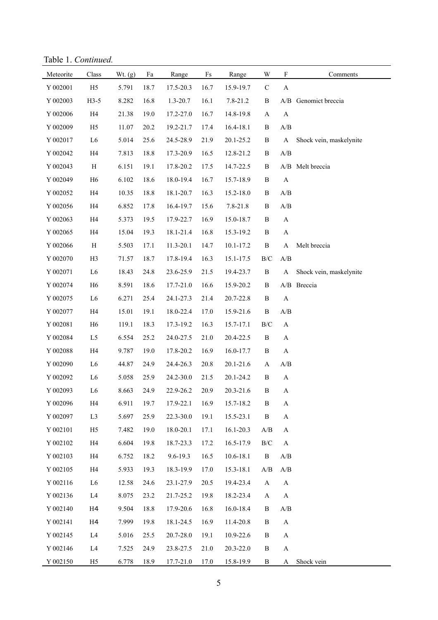Table 1. *Continued.*

| Meteorite | $\rm Class$               | Wt. $(g)$ | Fa   | Range        | $\rm{Fs}$ | Range         | $\ensuremath{\text{W}}$ | $\mathbf F$                                       | Comments                |
|-----------|---------------------------|-----------|------|--------------|-----------|---------------|-------------------------|---------------------------------------------------|-------------------------|
| Y 002001  | H <sub>5</sub>            | 5.791     | 18.7 | 17.5-20.3    | 16.7      | 15.9-19.7     | $\mathbf C$             | $\boldsymbol{\rm{A}}$                             |                         |
| Y 002003  | $H3-5$                    | 8.282     | 16.8 | $1.3 - 20.7$ | 16.1      | 7.8-21.2      | $\, {\bf B}$            |                                                   | A/B Genomict breccia    |
| Y 002006  | H4                        | 21.38     | 19.0 | 17.2-27.0    | 16.7      | 14.8-19.8     | $\mathbf{A}$            | $\boldsymbol{\rm{A}}$                             |                         |
| Y 002009  | H <sub>5</sub>            | 11.07     | 20.2 | 19.2-21.7    | 17.4      | 16.4-18.1     | $\, {\bf B}$            | A/B                                               |                         |
| Y 002017  | L <sub>6</sub>            | 5.014     | 25.6 | 24.5-28.9    | 21.9      | 20.1-25.2     | $\, {\bf B}$            | A                                                 | Shock vein, maskelynite |
| Y 002042  | H4                        | 7.813     | 18.8 | 17.3-20.9    | 16.5      | 12.8-21.2     | $\, {\bf B}$            | A/B                                               |                         |
| Y 002043  | $\boldsymbol{\mathrm{H}}$ | 6.151     | 19.1 | 17.8-20.2    | 17.5      | 14.7-22.5     | $\, {\bf B}$            |                                                   | A/B Melt breccia        |
| Y 002049  | H <sub>6</sub>            | 6.102     | 18.6 | 18.0-19.4    | 16.7      | 15.7-18.9     | $\, {\bf B}$            | $\boldsymbol{\rm{A}}$                             |                         |
| Y 002052  | H4                        | 10.35     | 18.8 | 18.1-20.7    | 16.3      | 15.2-18.0     | $\, {\bf B}$            | $\mathbf{A}/\mathbf{B}$                           |                         |
| Y 002056  | H4                        | 6.852     | 17.8 | 16.4-19.7    | 15.6      | 7.8-21.8      | $\, {\bf B}$            | $\mathbf{A}/\mathbf{B}$                           |                         |
| Y 002063  | H4                        | 5.373     | 19.5 | 17.9-22.7    | 16.9      | 15.0-18.7     | $\, {\bf B}$            | $\boldsymbol{\mathsf{A}}$                         |                         |
| Y 002065  | H4                        | 15.04     | 19.3 | 18.1-21.4    | 16.8      | 15.3-19.2     | $\, {\bf B}$            | $\mathbf{A}$                                      |                         |
| Y 002066  | $\, {\rm H}$              | 5.503     | 17.1 | 11.3-20.1    | 14.7      | 10.1-17.2     | $\, {\bf B}$            | $\mathbf A$                                       | Melt breccia            |
| Y 002070  | H <sub>3</sub>            | 71.57     | 18.7 | 17.8-19.4    | 16.3      | 15.1-17.5     | $\rm B/C$               | A/B                                               |                         |
| Y 002071  | L <sub>6</sub>            | 18.43     | 24.8 | 23.6-25.9    | 21.5      | 19.4-23.7     | $\, {\bf B}$            | A                                                 | Shock vein, maskelynite |
| Y 002074  | H <sub>6</sub>            | 8.591     | 18.6 | 17.7-21.0    | 16.6      | 15.9-20.2     | $\, {\bf B}$            |                                                   | A/B Breccia             |
| Y 002075  | L <sub>6</sub>            | 6.271     | 25.4 | 24.1-27.3    | 21.4      | 20.7-22.8     | $\, {\bf B}$            | $\boldsymbol{\rm{A}}$                             |                         |
| Y 002077  | H4                        | 15.01     | 19.1 | 18.0-22.4    | 17.0      | 15.9-21.6     | $\, {\bf B}$            | $\ensuremath{\mathrm{A}}/\ensuremath{\mathrm{B}}$ |                         |
| Y 002081  | H <sub>6</sub>            | 119.1     | 18.3 | 17.3-19.2    | 16.3      | 15.7-17.1     | $\rm B/C$               | $\mathbf{A}$                                      |                         |
| Y 002084  | L <sub>5</sub>            | 6.554     | 25.2 | 24.0-27.5    | 21.0      | 20.4-22.5     | $\, {\bf B}$            | $\mathbf A$                                       |                         |
| Y 002088  | H4                        | 9.787     | 19.0 | 17.8-20.2    | 16.9      | 16.0-17.7     | $\, {\bf B}$            | $\boldsymbol{\mathsf{A}}$                         |                         |
| Y 002090  | L <sub>6</sub>            | 44.87     | 24.9 | 24.4-26.3    | 20.8      | 20.1-21.6     | $\mathbf A$             | $\mathbf{A}/\mathbf{B}$                           |                         |
| Y 002092  | L <sub>6</sub>            | 5.058     | 25.9 | 24.2-30.0    | 21.5      | 20.1-24.2     | $\, {\bf B}$            | $\mathbf{A}$                                      |                         |
| Y 002093  | L <sub>6</sub>            | 8.663     | 24.9 | 22.9-26.2    | 20.9      | 20.3-21.6     | $\, {\bf B}$            | $\mathbf A$                                       |                         |
| Y 002096  | H4                        | 6.911     | 19.7 | 17.9-22.1    | 16.9      | 15.7-18.2     | B                       | A                                                 |                         |
| Y 002097  | L <sub>3</sub>            | 5.697     | 25.9 | 22.3-30.0    | 19.1      | 15.5-23.1     | $\, {\bf B}$            | $\mathbf A$                                       |                         |
| Y 002101  | H <sub>5</sub>            | 7.482     | 19.0 | 18.0-20.1    | 17.1      | 16.1-20.3     | $\mathbf{A}/\mathbf{B}$ | A                                                 |                         |
| Y 002102  | H4                        | 6.604     | 19.8 | 18.7-23.3    | 17.2      | 16.5-17.9     | $\rm{B/C}$              | $\mathbf{A}$                                      |                         |
| Y 002103  | H4                        | 6.752     | 18.2 | 9.6-19.3     | 16.5      | $10.6 - 18.1$ | $\, {\bf B}$            | $\mathbf{A}/\mathbf{B}$                           |                         |
| Y 002105  | H4                        | 5.933     | 19.3 | 18.3-19.9    | 17.0      | 15.3-18.1     | A/B                     | $\mathbf{A}/\mathbf{B}$                           |                         |
| Y 002116  | L <sub>6</sub>            | 12.58     | 24.6 | 23.1-27.9    | 20.5      | 19.4-23.4     | $\boldsymbol{\rm{A}}$   | $\mathbf{A}$                                      |                         |
| Y 002136  | L4                        | 8.075     | 23.2 | 21.7-25.2    | 19.8      | 18.2-23.4     | $\mathbf{A}$            | $\boldsymbol{\mathsf{A}}$                         |                         |
| Y 002140  | H4                        | 9.504     | 18.8 | 17.9-20.6    | 16.8      | 16.0-18.4     | $\, {\bf B}$            | $\mathbf{A}/\mathbf{B}$                           |                         |
| Y 002141  | H <sub>4</sub>            | 7.999     | 19.8 | 18.1-24.5    | 16.9      | 11.4-20.8     | B                       | $\boldsymbol{\mathsf{A}}$                         |                         |
| Y 002145  | L <sub>4</sub>            | 5.016     | 25.5 | 20.7-28.0    | 19.1      | 10.9-22.6     | $\, {\bf B}$            | $\mathbf{A}$                                      |                         |
| Y 002146  | L <sub>4</sub>            | 7.525     | 24.9 | 23.8-27.5    | 21.0      | 20.3-22.0     | $\, {\bf B}$            | $\mathbf A$                                       |                         |
| Y 002150  | H <sub>5</sub>            | 6.778     | 18.9 | 17.7-21.0    | 17.0      | 15.8-19.9     | $\, {\bf B}$            | $\mathbf A$                                       | Shock vein              |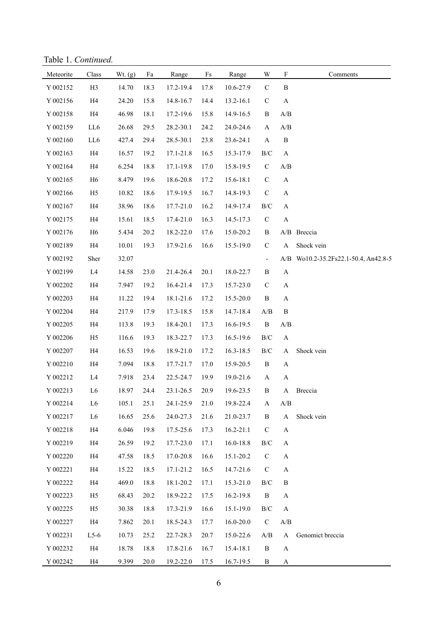Table 1. *Continued.*

| Meteorite | Class          | Wt. $(g)$ | Fa   | Range     | $\rm{Fs}$ | Range         | W                        | F                         | Comments                             |
|-----------|----------------|-----------|------|-----------|-----------|---------------|--------------------------|---------------------------|--------------------------------------|
| Y 002152  | H <sub>3</sub> | 14.70     | 18.3 | 17.2-19.4 | 17.8      | 10.6-27.9     | $\mathbf C$              | $\, {\bf B}$              |                                      |
| Y 002156  | H4             | 24.20     | 15.8 | 14.8-16.7 | 14.4      | 13.2-16.1     | $\mathbf C$              | $\mathbf{A}$              |                                      |
| Y 002158  | H4             | 46.98     | 18.1 | 17.2-19.6 | 15.8      | 14.9-16.5     | B                        | A/B                       |                                      |
| Y 002159  | LL6            | 26.68     | 29.5 | 28.2-30.1 | 24.2      | 24.0-24.6     | A                        | A/B                       |                                      |
| Y 002160  | LL6            | 427.4     | 29.4 | 28.5-30.1 | 23.8      | 23.6-24.1     | $\mathbf{A}$             | $\, {\bf B}$              |                                      |
| Y 002163  | H4             | 16.57     | 19.2 | 17.1-21.8 | 16.5      | 15.3-17.9     | $\rm{B/C}$               | $\mathbf{A}$              |                                      |
| Y 002164  | H4             | 6.254     | 18.8 | 17.1-19.8 | 17.0      | 15.8-19.5     | $\mathbf C$              | $\mathbf{A}/\mathbf{B}$   |                                      |
| Y 002165  | H <sub>6</sub> | 8.479     | 19.6 | 18.6-20.8 | 17.2      | 15.6-18.1     | $\mathbf C$              | $\boldsymbol{\mathsf{A}}$ |                                      |
| Y 002166  | H <sub>5</sub> | 10.82     | 18.6 | 17.9-19.5 | 16.7      | 14.8-19.3     | $\mathbf C$              | $\mathbf A$               |                                      |
| Y 002167  | H4             | 38.96     | 18.6 | 17.7-21.0 | 16.2      | 14.9-17.4     | $\rm{B/C}$               | $\mathbf{A}$              |                                      |
| Y 002175  | H4             | 15.61     | 18.5 | 17.4-21.0 | 16.3      | 14.5-17.3     | $\mathbf C$              | $\boldsymbol{\mathsf{A}}$ |                                      |
| Y 002176  | H <sub>6</sub> | 5.434     | 20.2 | 18.2-22.0 | 17.6      | 15.0-20.2     | B                        |                           | A/B Breccia                          |
| Y 002189  | H4             | 10.01     | 19.3 | 17.9-21.6 | 16.6      | 15.5-19.0     | $\mathbf C$              | A                         | Shock vein                           |
| Y 002192  | Sher           | 32.07     |      |           |           |               | $\overline{\phantom{a}}$ |                           | A/B Wo10.2-35.2Fs22.1-50.4, An42.8-5 |
| Y 002199  | L4             | 14.58     | 23.0 | 21.4-26.4 | 20.1      | 18.0-22.7     | B                        | $\mathbf{A}$              |                                      |
| Y 002202  | H4             | 7.947     | 19.2 | 16.4-21.4 | 17.3      | 15.7-23.0     | $\mathbf C$              | $\mathbf{A}$              |                                      |
| Y 002203  | H4             | 11.22     | 19.4 | 18.1-21.6 | 17.2      | 15.5-20.0     | $\, {\bf B}$             | $\mathbf{A}$              |                                      |
| Y 002204  | H4             | 217.9     | 17.9 | 17.3-18.5 | 15.8      | 14.7-18.4     | $\mathbf{A}/\mathbf{B}$  | $\, {\bf B}$              |                                      |
| Y 002205  | H4             | 113.8     | 19.3 | 18.4-20.1 | 17.3      | 16.6-19.5     | $\, {\bf B}$             | A/B                       |                                      |
| Y 002206  | H <sub>5</sub> | 116.6     | 19.3 | 18.3-22.7 | 17.3      | 16.5-19.6     | $\rm{B/C}$               | $\mathbf{A}$              |                                      |
| Y 002207  | H4             | 16.53     | 19.6 | 18.9-21.0 | 17.2      | 16.3-18.5     | $\rm{B/C}$               | $\mathbf{A}$              | Shock vein                           |
| Y 002210  | H4             | 7.094     | 18.8 | 17.7-21.7 | 17.0      | 15.9-20.5     | B                        | A                         |                                      |
| Y 002212  | L <sub>4</sub> | 7.918     | 23.4 | 22.5-24.7 | 19.9      | 19.0-21.6     | $\mathbf{A}$             | A                         |                                      |
| Y 002213  | L <sub>6</sub> | 18.97     | 24.4 | 23.1-26.5 | 20.9      | 19.6-23.5     | $\, {\bf B}$             | A                         | Breccia                              |
| Y 002214  | L <sub>6</sub> | 105.1     | 25.1 | 24.1-25.9 | 21.0      | 19.8-22.4     | A                        | $\mathbf{A}/\mathbf{B}$   |                                      |
| Y 002217  | L <sub>6</sub> | 16.65     | 25.6 | 24.0-27.3 | 21.6      | 21.0-23.7     | B                        | $\mathbf{A}$              | Shock vein                           |
| Y 002218  | H4             | 6.046     | 19.8 | 17.5-25.6 | 17.3      | $16.2 - 21.1$ | $\mathbf C$              | $\mathbf{A}$              |                                      |
| Y 002219  | H4             | 26.59     | 19.2 | 17.7-23.0 | 17.1      | 16.0-18.8     | B/C                      | $\mathbf{A}$              |                                      |
| Y 002220  | H4             | 47.58     | 18.5 | 17.0-20.8 | 16.6      | 15.1-20.2     | $\mathcal{C}$            | A                         |                                      |
| Y 002221  | H4             | 15.22     | 18.5 | 17.1-21.2 | 16.5      | 14.7-21.6     | $\mathbf C$              | $\mathbf{A}$              |                                      |
| Y 002222  | H4             | 469.0     | 18.8 | 18.1-20.2 | 17.1      | 15.3-21.0     | B/C                      | B                         |                                      |
| Y 002223  | H <sub>5</sub> | 68.43     | 20.2 | 18.9-22.2 | 17.5      | 16.2-19.8     | $\, {\bf B}$             | $\mathbf{A}$              |                                      |
| Y 002225  | H <sub>5</sub> | 30.38     | 18.8 | 17.3-21.9 | 16.6      | 15.1-19.0     | B/C                      | $\mathbf{A}$              |                                      |
| Y 002227  | H <sub>4</sub> | 7.862     | 20.1 | 18.5-24.3 | 17.7      | $16.0 - 20.0$ | $\mathcal{C}$            | $\mathbf{A}/\mathbf{B}$   |                                      |
| Y 002231  | $L5-6$         | 10.73     | 25.2 | 22.7-28.3 | 20.7      | 15.0-22.6     | A/B                      | $\bf{A}$                  | Genomict breccia                     |
| Y 002232  | H4             | 18.78     | 18.8 | 17.8-21.6 | 16.7      | 15.4-18.1     | B                        | $\mathbf{A}$              |                                      |
| Y 002242  | H4             | 9.399     | 20.0 | 19.2-22.0 | 17.5      | 16.7-19.5     | B                        | A                         |                                      |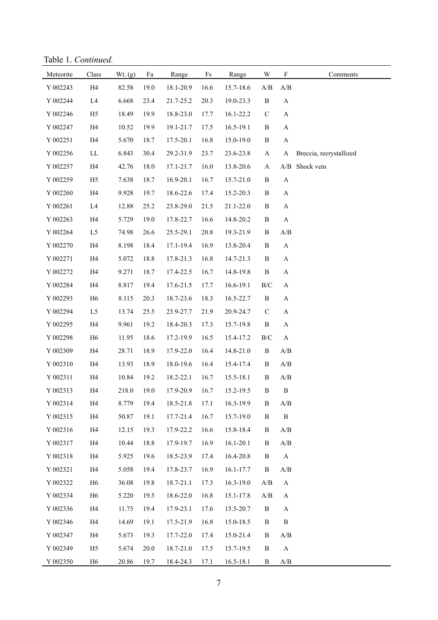Table 1. *Continued.*

| Meteorite | Class          | Wt. $(g)$ | Fa   | Range     | Fs   | Range         | W                       | $\boldsymbol{\mathrm{F}}$ | Comments                |
|-----------|----------------|-----------|------|-----------|------|---------------|-------------------------|---------------------------|-------------------------|
| Y 002243  | H4             | 82.58     | 19.0 | 18.1-20.9 | 16.6 | 15.7-18.6     | A/B                     | A/B                       |                         |
| Y 002244  | L4             | 6.668     | 23.4 | 21.7-25.2 | 20.3 | 19.0-23.3     | $\, {\bf B}$            | $\mathbf A$               |                         |
| Y 002246  | H <sub>5</sub> | 18.49     | 19.9 | 18.8-23.0 | 17.7 | 16.1-22.2     | $\mathsf C$             | $\mathbf A$               |                         |
| Y 002247  | H4             | 10.52     | 19.9 | 19.1-21.7 | 17.5 | 16.5-19.1     | $\, {\bf B}$            | $\mathbf A$               |                         |
| Y 002251  | H4             | 5.670     | 18.7 | 17.5-20.1 | 16.8 | 15.0-19.0     | $\, {\bf B}$            | A                         |                         |
| Y 002256  | LL             | 6.843     | 30.4 | 29.2-31.9 | 23.7 | 23.6-23.8     | $\mathbf{A}$            | A                         | Breccia, recrystallized |
| Y 002257  | H4             | 42.76     | 18.0 | 17.1-21.7 | 16.0 | 13.8-20.6     | A                       | A/B                       | Shock vein              |
| Y 002259  | H <sub>5</sub> | 7.638     | 18.7 | 16.9-20.1 | 16.7 | 15.7-21.0     | $\, {\bf B}$            | $\mathbf A$               |                         |
| Y 002260  | H4             | 9.928     | 19.7 | 18.6-22.6 | 17.4 | 15.2-20.3     | $\, {\bf B}$            | $\mathbf A$               |                         |
| Y 002261  | L4             | 12.88     | 25.2 | 23.8-29.0 | 21.5 | 21.1-22.0     | $\, {\bf B}$            | $\mathbf A$               |                         |
| Y 002263  | H4             | 5.729     | 19.0 | 17.8-22.7 | 16.6 | 14.8-20.2     | $\, {\bf B}$            | $\mathbf{A}$              |                         |
| Y 002264  | L <sub>5</sub> | 74.98     | 26.6 | 25.5-29.1 | 20.8 | 19.3-21.9     | $\, {\bf B}$            | A/B                       |                         |
| Y 002270  | H4             | 8.198     | 18.4 | 17.1-19.4 | 16.9 | 13.8-20.4     | $\, {\bf B}$            | $\mathbf A$               |                         |
| Y 002271  | H4             | 5.072     | 18.8 | 17.8-21.3 | 16.8 | 14.7-21.3     | $\, {\bf B}$            | $\boldsymbol{\rm{A}}$     |                         |
| Y 002272  | H4             | 9.271     | 18.7 | 17.4-22.5 | 16.7 | 14.8-19.8     | $\, {\bf B}$            | $\mathbf A$               |                         |
| Y 002284  | H4             | 8.817     | 19.4 | 17.6-21.5 | 17.7 | 16.6-19.1     | $\rm B/C$               | $\mathbf{A}$              |                         |
| Y 002293  | H <sub>6</sub> | 8.115     | 20.3 | 18.7-23.6 | 18.3 | 16.5-22.7     | $\, {\bf B}$            | $\mathbf A$               |                         |
| Y 002294  | L <sub>5</sub> | 13.74     | 25.5 | 23.9-27.7 | 21.9 | 20.9-24.7     | $\mathsf C$             | $\mathbf A$               |                         |
| Y 002295  | H4             | 9.961     | 19.2 | 18.4-20.3 | 17.3 | 15.7-19.8     | $\, {\bf B}$            | $\mathbf A$               |                         |
| Y 002298  | H <sub>6</sub> | 11.95     | 18.6 | 17.2-19.9 | 16.5 | 15.4-17.2     | $\rm B/C$               | $\boldsymbol{\mathsf{A}}$ |                         |
| Y 002309  | H4             | 28.71     | 18.9 | 17.9-22.0 | 16.4 | 14.8-21.0     | $\, {\bf B}$            | A/B                       |                         |
| Y 002310  | H4             | 13.93     | 18.9 | 18.0-19.6 | 16.4 | 15.4-17.4     | $\, {\bf B}$            | A/B                       |                         |
| Y 002311  | H4             | 10.84     | 19.2 | 18.2-22.1 | 16.7 | 15.5-18.1     | $\, {\bf B}$            | $\mathbf{A}/\mathbf{B}$   |                         |
| Y 002313  | H4             | 218.0     | 19.0 | 17.9-20.9 | 16.7 | 15.2-19.5     | $\, {\bf B}$            | $\, {\bf B}$              |                         |
| Y 002314  | H4             | 8.779     | 19.4 | 18.5-21.8 | 17.1 | 16.3-19.9     | B                       | A/B                       |                         |
| Y 002315  | H4             | 50.87     | 19.1 | 17.7-21.4 | 16.7 | 15.7-19.0     | B                       | $\, {\bf B}$              |                         |
| Y 002316  | H4             | 12.15     | 19.3 | 17.9-22.2 | 16.6 | 15.8-18.4     | B                       | A/B                       |                         |
| Y 002317  | H4             | 10.44     | 18.8 | 17.9-19.7 | 16.9 | $16.1 - 20.1$ | B                       | $\mathbf{A}/\mathbf{B}$   |                         |
| Y 002318  | H4             | 5.925     | 19.6 | 18.5-23.9 | 17.4 | 16.4-20.8     | $\, {\bf B}$            | $\mathbf{A}$              |                         |
| Y 002321  | H4             | 5.058     | 19.4 | 17.8-23.7 | 16.9 | 16.1-17.7     | $\, {\bf B}$            | A/B                       |                         |
| Y 002322  | H <sub>6</sub> | 36.08     | 19.8 | 18.7-21.1 | 17.3 | $16.3 - 19.0$ | A/B                     | $\mathbf{A}$              |                         |
| Y 002334  | H <sub>6</sub> | 5.220     | 19.5 | 18.6-22.0 | 16.8 | 15.1-17.8     | $\mathbf{A}/\mathbf{B}$ | A                         |                         |
| Y 002336  | H4             | 11.75     | 19.4 | 17.9-23.1 | 17.6 | 15.5-20.7     | $\, {\bf B}$            | A                         |                         |
| Y 002346  | H4             | 14.69     | 19.1 | 17.5-21.9 | 16.8 | 15.0-18.5     | B                       | $\, {\bf B}$              |                         |
| Y 002347  | H4             | 5.673     | 19.3 | 17.7-22.0 | 17.4 | 15.0-21.4     | B                       | A/B                       |                         |
| Y 002349  | H <sub>5</sub> | 5.674     | 20.0 | 18.7-21.0 | 17.5 | 15.7-19.5     | B                       | $\mathbf{A}$              |                         |
| Y 002350  | H <sub>6</sub> | 20.86     | 19.7 | 18.4-24.3 | 17.1 | $16.5 - 18.1$ | B                       | $\mathbf{A}/\mathbf{B}$   |                         |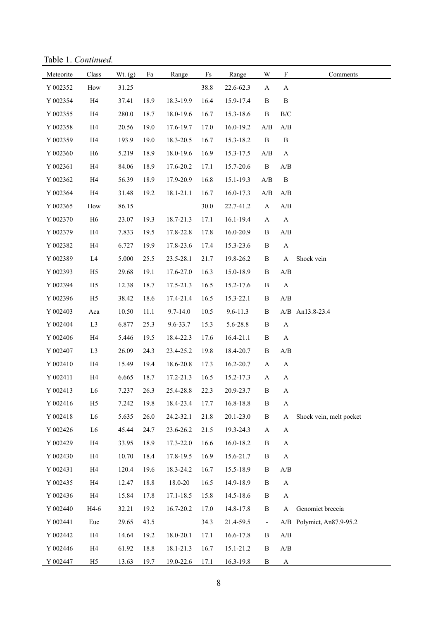Table 1. *Continued.*

| Meteorite | Class          | Wt. (g) | Fa   | Range        | $\rm{Fs}$ | Range        | W                       | $\mathbf F$             | Comments                  |
|-----------|----------------|---------|------|--------------|-----------|--------------|-------------------------|-------------------------|---------------------------|
| Y 002352  | How            | 31.25   |      |              | 38.8      | 22.6-62.3    | A                       | A                       |                           |
| Y 002354  | H4             | 37.41   | 18.9 | 18.3-19.9    | 16.4      | 15.9-17.4    | B                       | $\, {\bf B}$            |                           |
| Y 002355  | H4             | 280.0   | 18.7 | 18.0-19.6    | 16.7      | 15.3-18.6    | $\, {\bf B}$            | $\rm{B/C}$              |                           |
| Y 002358  | H4             | 20.56   | 19.0 | 17.6-19.7    | 17.0      | 16.0-19.2    | A/B                     | A/B                     |                           |
| Y 002359  | H4             | 193.9   | 19.0 | 18.3-20.5    | 16.7      | 15.3-18.2    | $\, {\bf B}$            | $\, {\bf B}$            |                           |
| Y 002360  | H <sub>6</sub> | 5.219   | 18.9 | 18.0-19.6    | 16.9      | 15.3-17.5    | A/B                     | $\mathbf{A}$            |                           |
| Y 002361  | H4             | 84.06   | 18.9 | 17.6-20.2    | 17.1      | 15.7-20.6    | $\, {\bf B}$            | A/B                     |                           |
| Y 002362  | H4             | 56.39   | 18.9 | 17.9-20.9    | 16.8      | 15.1-19.3    | A/B                     | $\, {\bf B}$            |                           |
| Y 002364  | H4             | 31.48   | 19.2 | 18.1-21.1    | 16.7      | 16.0-17.3    | $\mathbf{A}/\mathbf{B}$ | A/B                     |                           |
| Y 002365  | How            | 86.15   |      |              | 30.0      | 22.7-41.2    | $\mathbf{A}$            | $\mathbf{A}/\mathbf{B}$ |                           |
| Y 002370  | H <sub>6</sub> | 23.07   | 19.3 | 18.7-21.3    | 17.1      | 16.1-19.4    | $\mathbf{A}$            | $\mathbf{A}$            |                           |
| Y 002379  | H4             | 7.833   | 19.5 | 17.8-22.8    | 17.8      | 16.0-20.9    | $\, {\bf B}$            | $\mathbf{A}/\mathbf{B}$ |                           |
| Y 002382  | H4             | 6.727   | 19.9 | 17.8-23.6    | 17.4      | 15.3-23.6    | $\, {\bf B}$            | $\boldsymbol{\rm{A}}$   |                           |
| Y 002389  | L4             | 5.000   | 25.5 | 23.5-28.1    | 21.7      | 19.8-26.2    | $\, {\bf B}$            | $\mathbf{A}$            | Shock vein                |
| Y 002393  | H <sub>5</sub> | 29.68   | 19.1 | 17.6-27.0    | 16.3      | 15.0-18.9    | $\, {\bf B}$            | A/B                     |                           |
| Y 002394  | H <sub>5</sub> | 12.38   | 18.7 | 17.5-21.3    | 16.5      | 15.2-17.6    | $\, {\bf B}$            | $\mathbf{A}$            |                           |
| Y 002396  | H <sub>5</sub> | 38.42   | 18.6 | 17.4-21.4    | 16.5      | 15.3-22.1    | $\, {\bf B}$            | $\mathbf{A}/\mathbf{B}$ |                           |
| Y 002403  | Aca            | 10.50   | 11.1 | $9.7 - 14.0$ | 10.5      | $9.6 - 11.3$ | B                       |                         | A/B An13.8-23.4           |
| Y 002404  | L <sub>3</sub> | 6.877   | 25.3 | 9.6-33.7     | 15.3      | 5.6-28.8     | $\, {\bf B}$            | $\mathbf{A}$            |                           |
| Y 002406  | H4             | 5.446   | 19.5 | 18.4-22.3    | 17.6      | 16.4-21.1    | $\, {\bf B}$            | $\mathbf{A}$            |                           |
| Y 002407  | L <sub>3</sub> | 26.09   | 24.3 | 23.4-25.2    | 19.8      | 18.4-20.7    | B                       | A/B                     |                           |
| Y 002410  | H4             | 15.49   | 19.4 | 18.6-20.8    | 17.3      | 16.2-20.7    | A                       | $\mathbf{A}$            |                           |
| Y 002411  | H4             | 6.665   | 18.7 | 17.2-21.3    | 16.5      | 15.2-17.3    | $\mathbf{A}$            | $\mathbf{A}$            |                           |
| Y 002413  | L <sub>6</sub> | 7.237   | 26.3 | 25.4-28.8    | 22.3      | 20.9-23.7    | $\, {\bf B}$            | $\mathbf{A}$            |                           |
| Y 002416  | H <sub>5</sub> | 7.242   | 19.8 | 18.4-23.4    | 17.7      | 16.8-18.8    | $\, {\bf B}$            | $\mathbf A$             |                           |
| Y 002418  | ${\rm L6}$     | 5.635   | 26.0 | 24.2-32.1    | 21.8      | 20.1-23.0    | $\, {\bf B}$            | $\mathbf A$             | Shock vein, melt pocket   |
| Y 002426  | L <sub>6</sub> | 45.44   | 24.7 | 23.6-26.2    | 21.5      | 19.3-24.3    | A                       | A                       |                           |
| Y 002429  | H4             | 33.95   | 18.9 | 17.3-22.0    | 16.6      | 16.0-18.2    | $\, {\bf B}$            | $\mathbf A$             |                           |
| Y 002430  | H4             | 10.70   | 18.4 | 17.8-19.5    | 16.9      | 15.6-21.7    | $\, {\bf B}$            | $\mathbf{A}$            |                           |
| Y 002431  | H4             | 120.4   | 19.6 | 18.3-24.2    | 16.7      | 15.5-18.9    | B                       | A/B                     |                           |
| Y 002435  | H4             | 12.47   | 18.8 | 18.0-20      | 16.5      | 14.9-18.9    | $\, {\bf B}$            | $\mathbf{A}$            |                           |
| Y 002436  | H4             | 15.84   | 17.8 | 17.1-18.5    | 15.8      | 14.5-18.6    | $\, {\bf B}$            | $\mathbf A$             |                           |
| Y 002440  | H4-6           | 32.21   | 19.2 | 16.7-20.2    | 17.0      | 14.8-17.8    | B                       | A                       | Genomict breccia          |
| Y 002441  | Euc            | 29.65   | 43.5 |              | 34.3      | 21.4-59.5    | ÷,                      |                         | A/B Polymict, An87.9-95.2 |
| Y 002442  | H4             | 14.64   | 19.2 | 18.0-20.1    | 17.1      | 16.6-17.8    | $\, {\bf B}$            | $\mathbf{A}/\mathbf{B}$ |                           |
| Y 002446  | H4             | 61.92   | 18.8 | 18.1-21.3    | 16.7      | 15.1-21.2    | $\, {\bf B}$            | $\mathbf{A}/\mathbf{B}$ |                           |
| Y 002447  | H <sub>5</sub> | 13.63   | 19.7 | 19.0-22.6    | 17.1      | 16.3-19.8    | B                       | $\mathbf{A}$            |                           |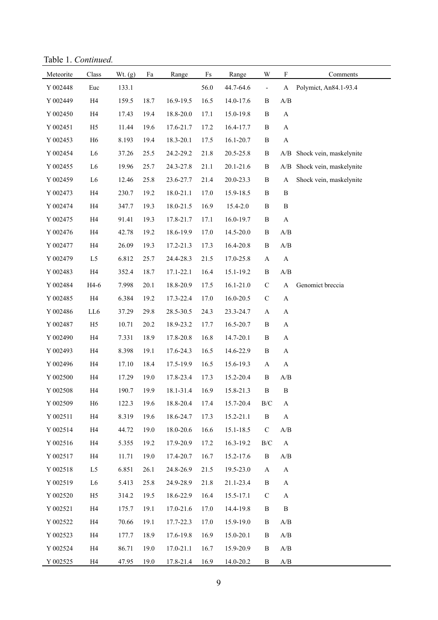Table 1. *Continued.*

| Meteorite | $\rm Class$    | Wt. $(g)$ | Fa   | Range     | $\rm{Fs}$ | Range         | W                        | $\mathbf F$             | Comments                |
|-----------|----------------|-----------|------|-----------|-----------|---------------|--------------------------|-------------------------|-------------------------|
| Y 002448  | Euc            | 133.1     |      |           | 56.0      | 44.7-64.6     | $\overline{\phantom{a}}$ | A                       | Polymict, An84.1-93.4   |
| Y 002449  | H4             | 159.5     | 18.7 | 16.9-19.5 | 16.5      | 14.0-17.6     | B                        | A/B                     |                         |
| Y 002450  | H4             | 17.43     | 19.4 | 18.8-20.0 | 17.1      | 15.0-19.8     | $\, {\bf B}$             | $\mathbf{A}$            |                         |
| Y 002451  | H <sub>5</sub> | 11.44     | 19.6 | 17.6-21.7 | 17.2      | 16.4-17.7     | $\, {\bf B}$             | $\boldsymbol{\rm{A}}$   |                         |
| Y 002453  | H <sub>6</sub> | 8.193     | 19.4 | 18.3-20.1 | 17.5      | 16.1-20.7     | $\, {\bf B}$             | $\boldsymbol{\rm{A}}$   |                         |
| Y 002454  | L <sub>6</sub> | 37.26     | 25.5 | 24.2-29.2 | 21.8      | 20.5-25.8     | $\, {\bf B}$             | A/B                     | Shock vein, maskelynite |
| Y 002455  | L6             | 19.96     | 25.7 | 24.3-27.8 | 21.1      | 20.1-21.6     | $\, {\bf B}$             | A/B                     | Shock vein, maskelynite |
| Y 002459  | L <sub>6</sub> | 12.46     | 25.8 | 23.6-27.7 | 21.4      | 20.0-23.3     | $\, {\bf B}$             | $\boldsymbol{\rm{A}}$   | Shock vein, maskelynite |
| Y 002473  | H4             | 230.7     | 19.2 | 18.0-21.1 | 17.0      | 15.9-18.5     | $\, {\bf B}$             | $\, {\bf B}$            |                         |
| Y 002474  | H4             | 347.7     | 19.3 | 18.0-21.5 | 16.9      | 15.4-2.0      | $\, {\bf B}$             | $\, {\bf B}$            |                         |
| Y 002475  | H4             | 91.41     | 19.3 | 17.8-21.7 | 17.1      | 16.0-19.7     | $\, {\bf B}$             | $\boldsymbol{\rm{A}}$   |                         |
| Y 002476  | H4             | 42.78     | 19.2 | 18.6-19.9 | 17.0      | 14.5-20.0     | $\, {\bf B}$             | A/B                     |                         |
| Y 002477  | H4             | 26.09     | 19.3 | 17.2-21.3 | 17.3      | 16.4-20.8     | $\, {\bf B}$             | A/B                     |                         |
| Y 002479  | L <sub>5</sub> | 6.812     | 25.7 | 24.4-28.3 | 21.5      | 17.0-25.8     | $\mathbf{A}$             | $\boldsymbol{\rm{A}}$   |                         |
| Y 002483  | H4             | 352.4     | 18.7 | 17.1-22.1 | 16.4      | 15.1-19.2     | $\, {\bf B}$             | A/B                     |                         |
| Y 002484  | H4-6           | 7.998     | 20.1 | 18.8-20.9 | 17.5      | $16.1 - 21.0$ | $\mathbf C$              | $\mathbf A$             | Genomict breccia        |
| Y 002485  | H4             | 6.384     | 19.2 | 17.3-22.4 | 17.0      | 16.0-20.5     | $\mathbf C$              | $\mathbf{A}$            |                         |
| Y 002486  | LL6            | 37.29     | 29.8 | 28.5-30.5 | 24.3      | 23.3-24.7     | $\mathbf{A}$             | $\mathbf A$             |                         |
| Y 002487  | H <sub>5</sub> | 10.71     | 20.2 | 18.9-23.2 | 17.7      | 16.5-20.7     | $\, {\bf B}$             | $\mathbf A$             |                         |
| Y 002490  | H4             | 7.331     | 18.9 | 17.8-20.8 | 16.8      | 14.7-20.1     | $\, {\bf B}$             | $\mathbf A$             |                         |
| Y 002493  | H4             | 8.398     | 19.1 | 17.6-24.3 | 16.5      | 14.6-22.9     | $\, {\bf B}$             | $\mathbf A$             |                         |
| Y 002496  | H4             | 17.10     | 18.4 | 17.5-19.9 | 16.5      | 15.6-19.3     | $\mathbf{A}$             | $\mathbf{A}$            |                         |
| Y 002500  | H4             | 17.29     | 19.0 | 17.8-23.4 | 17.3      | 15.2-20.4     | $\, {\bf B}$             | A/B                     |                         |
| Y 002508  | H4             | 190.7     | 19.9 | 18.1-31.4 | 16.9      | 15.8-21.3     | $\, {\bf B}$             | $\, {\bf B}$            |                         |
| Y 002509  | H <sub>6</sub> | 122.3     | 19.6 | 18.8-20.4 | 17.4      | 15.7-20.4     | $\rm B/C$                | A                       |                         |
| Y 002511  | H4             | 8.319     | 19.6 | 18.6-24.7 | 17.3      | 15.2-21.1     | B                        | A                       |                         |
| Y 002514  | H4             | 44.72     | 19.0 | 18.0-20.6 | 16.6      | 15.1-18.5     | $\mathbf C$              | A/B                     |                         |
| Y 002516  | H4             | 5.355     | 19.2 | 17.9-20.9 | 17.2      | 16.3-19.2     | $\rm B/C$                | $\mathbf{A}$            |                         |
| Y 002517  | H4             | 11.71     | 19.0 | 17.4-20.7 | 16.7      | 15.2-17.6     | B                        | A/B                     |                         |
| Y 002518  | L <sub>5</sub> | 6.851     | 26.1 | 24.8-26.9 | 21.5      | 19.5-23.0     | A                        | $\mathbf{A}$            |                         |
| Y 002519  | L <sub>6</sub> | 5.413     | 25.8 | 24.9-28.9 | 21.8      | 21.1-23.4     | B                        | $\mathbf{A}$            |                         |
| Y 002520  | H <sub>5</sub> | 314.2     | 19.5 | 18.6-22.9 | 16.4      | 15.5-17.1     | $\mathsf C$              | A                       |                         |
| Y 002521  | H4             | 175.7     | 19.1 | 17.0-21.6 | 17.0      | 14.4-19.8     | B                        | $\, {\bf B}$            |                         |
| Y 002522  | H4             | 70.66     | 19.1 | 17.7-22.3 | 17.0      | 15.9-19.0     | B                        | A/B                     |                         |
| Y 002523  | H4             | 177.7     | 18.9 | 17.6-19.8 | 16.9      | 15.0-20.1     | B                        | A/B                     |                         |
| Y 002524  | H4             | 86.71     | 19.0 | 17.0-21.1 | 16.7      | 15.9-20.9     | B                        | A/B                     |                         |
| Y 002525  | H4             | 47.95     | 19.0 | 17.8-21.4 | 16.9      | 14.0-20.2     | $\, {\bf B}$             | $\mathbf{A}/\mathbf{B}$ |                         |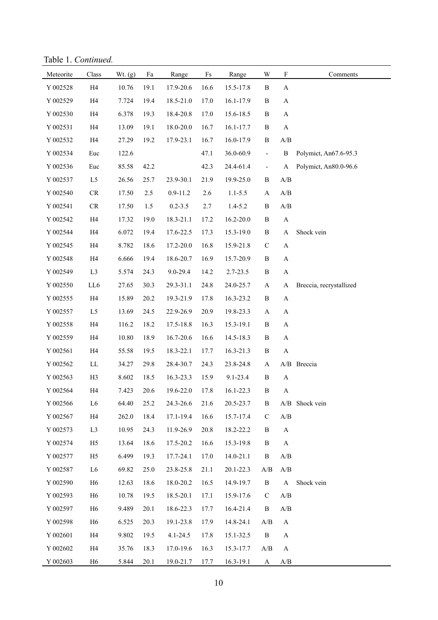Table 1. *Continued.*

| Meteorite | Class                  | Wt. (g) | Fa   | Range        | $\rm{Fs}$ | Range       | W                        | $\mathbf F$                                       | Comments                |
|-----------|------------------------|---------|------|--------------|-----------|-------------|--------------------------|---------------------------------------------------|-------------------------|
| Y 002528  | H4                     | 10.76   | 19.1 | 17.9-20.6    | 16.6      | 15.5-17.8   | B                        | A                                                 |                         |
| Y 002529  | H4                     | 7.724   | 19.4 | 18.5-21.0    | 17.0      | 16.1-17.9   | $\, {\bf B}$             | A                                                 |                         |
| Y 002530  | H4                     | 6.378   | 19.3 | 18.4-20.8    | 17.0      | 15.6-18.5   | $\, {\bf B}$             | A                                                 |                         |
| Y 002531  | H4                     | 13.09   | 19.1 | 18.0-20.0    | 16.7      | 16.1-17.7   | $\, {\bf B}$             | $\boldsymbol{\rm{A}}$                             |                         |
| Y 002532  | H4                     | 27.29   | 19.2 | 17.9-23.1    | 16.7      | 16.0-17.9   | $\, {\bf B}$             | $\ensuremath{\mathrm{A}}/\ensuremath{\mathrm{B}}$ |                         |
| Y 002534  | Euc                    | 122.6   |      |              | 47.1      | 36.0-60.9   | $\blacksquare$           | $\, {\bf B}$                                      | Polymict, An67.6-95.3   |
| Y 002536  | Euc                    | 85.58   | 42.2 |              | 42.3      | 24.4-61.4   | $\overline{\phantom{a}}$ | A                                                 | Polymict, An80.0-96.6   |
| Y 002537  | L5                     | 26.56   | 25.7 | 23.9-30.1    | 21.9      | 19.9-25.0   | $\, {\bf B}$             | A/B                                               |                         |
| Y 002540  | ${\rm CR}$             | 17.50   | 2.5  | $0.9 - 11.2$ | 2.6       | $1.1 - 5.5$ | $\mathbf{A}$             | $\ensuremath{\mathrm{A}}/\ensuremath{\mathrm{B}}$ |                         |
| Y 002541  | ${\cal CR}$            | 17.50   | 1.5  | $0.2 - 3.5$  | 2.7       | $1.4 - 5.2$ | $\, {\bf B}$             | $\ensuremath{\mathrm{A}}/\ensuremath{\mathrm{B}}$ |                         |
| Y 002542  | H4                     | 17.32   | 19.0 | 18.3-21.1    | 17.2      | 16.2-20.0   | $\, {\bf B}$             | $\boldsymbol{\rm{A}}$                             |                         |
| Y 002544  | H4                     | 6.072   | 19.4 | 17.6-22.5    | 17.3      | 15.3-19.0   | B                        | $\mathbf A$                                       | Shock vein              |
| Y 002545  | H4                     | 8.782   | 18.6 | 17.2-20.0    | 16.8      | 15.9-21.8   | $\mathbf C$              | $\mathbf A$                                       |                         |
| Y 002548  | H4                     | 6.666   | 19.4 | 18.6-20.7    | 16.9      | 15.7-20.9   | $\, {\bf B}$             | $\mathbf A$                                       |                         |
| Y 002549  | L <sub>3</sub>         | 5.574   | 24.3 | 9.0-29.4     | 14.2      | 2.7-23.5    | $\, {\bf B}$             | $\mathbf A$                                       |                         |
| Y 002550  | LL6                    | 27.65   | 30.3 | 29.3-31.1    | 24.8      | 24.0-25.7   | $\mathbf{A}$             | A                                                 | Breccia, recrystallized |
| Y 002555  | H4                     | 15.89   | 20.2 | 19.3-21.9    | 17.8      | 16.3-23.2   | $\, {\bf B}$             | $\mathbf A$                                       |                         |
| Y 002557  | L <sub>5</sub>         | 13.69   | 24.5 | 22.9-26.9    | 20.9      | 19.8-23.3   | $\mathbf{A}$             | $\mathbf A$                                       |                         |
| Y 002558  | H4                     | 116.2   | 18.2 | 17.5-18.8    | 16.3      | 15.3-19.1   | $\, {\bf B}$             | $\mathbf A$                                       |                         |
| Y 002559  | H4                     | 10.80   | 18.9 | 16.7-20.6    | 16.6      | 14.5-18.3   | $\, {\bf B}$             | A                                                 |                         |
| Y 002561  | H4                     | 55.58   | 19.5 | 18.3-22.1    | 17.7      | 16.3-21.3   | $\, {\bf B}$             | $\boldsymbol{\rm{A}}$                             |                         |
| Y 002562  | $\mathbf{L}\mathbf{L}$ | 34.27   | 29.8 | 28.4-30.7    | 24.3      | 23.8-24.8   | A                        |                                                   | A/B Breccia             |
| Y 002563  | H <sub>3</sub>         | 8.602   | 18.5 | 16.3-23.3    | 15.9      | 9.1-23.4    | $\, {\bf B}$             | $\mathbf A$                                       |                         |
| Y 002564  | H4                     | 7.423   | 20.6 | 19.6-22.0    | 17.8      | 16.1-22.3   | $\, {\bf B}$             | $\mathbf A$                                       |                         |
| Y 002566  | L6                     | 64.40   | 25.2 | 24.3-26.6    | 21.6      | 20.5-23.7   | B                        |                                                   | A/B Shock vein          |
| Y 002567  | H4                     | 262.0   | 18.4 | 17.1-19.4    | 16.6      | 15.7-17.4   | $\mathbf C$              | A/B                                               |                         |
| Y 002573  | L <sub>3</sub>         | 10.95   | 24.3 | 11.9-26.9    | 20.8      | 18.2-22.2   | B                        | A                                                 |                         |
| Y 002574  | H <sub>5</sub>         | 13.64   | 18.6 | 17.5-20.2    | 16.6      | 15.3-19.8   | B                        | A                                                 |                         |
| Y 002577  | H <sub>5</sub>         | 6.499   | 19.3 | 17.7-24.1    | 17.0      | 14.0-21.1   | B                        | A/B                                               |                         |
| Y 002587  | L <sub>6</sub>         | 69.82   | 25.0 | 23.8-25.8    | 21.1      | 20.1-22.3   | A/B                      | A/B                                               |                         |
| Y 002590  | H <sub>6</sub>         | 12.63   | 18.6 | 18.0-20.2    | 16.5      | 14.9-19.7   | $\, {\bf B}$             | $\bf{A}$                                          | Shock vein              |
| Y 002593  | H <sub>6</sub>         | 10.78   | 19.5 | 18.5-20.1    | 17.1      | 15.9-17.6   | $\mathcal{C}$            | A/B                                               |                         |
| Y 002597  | H <sub>6</sub>         | 9.489   | 20.1 | 18.6-22.3    | 17.7      | 16.4-21.4   | $\, {\bf B}$             | $\mathbf{A}/\mathbf{B}$                           |                         |
| Y 002598  | ${\rm H6}$             | 6.525   | 20.3 | 19.1-23.8    | 17.9      | 14.8-24.1   | A/B                      | $\mathbf{A}$                                      |                         |
| Y 002601  | H <sub>4</sub>         | 9.802   | 19.5 | $4.1 - 24.5$ | 17.8      | 15.1-32.5   | B                        | A                                                 |                         |
| Y 002602  | H <sub>4</sub>         | 35.76   | 18.3 | 17.0-19.6    | 16.3      | 15.3-17.7   | A/B                      | A                                                 |                         |
| Y 002603  | H <sub>6</sub>         | 5.844   | 20.1 | 19.0-21.7    | 17.7      | 16.3-19.1   | $\bf{A}$                 | $\mathbf{A}/\mathbf{B}$                           |                         |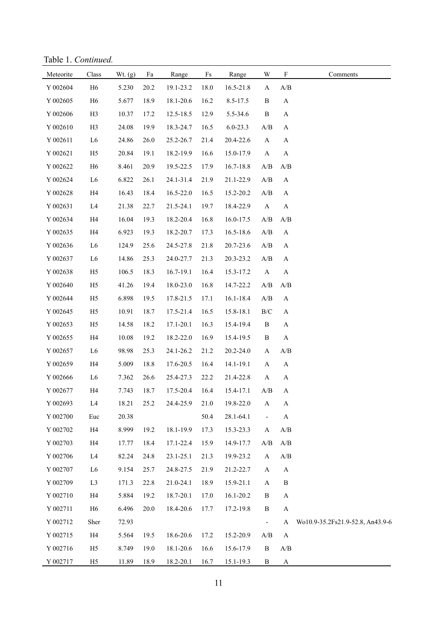Table 1. *Continued.*

| Meteorite          | Class          | Wt. $(g)$ | Fa   | Range         | Fs   | Range         | W                                                 | $\mathbf F$               | Comments                         |
|--------------------|----------------|-----------|------|---------------|------|---------------|---------------------------------------------------|---------------------------|----------------------------------|
| Y 002604           | H <sub>6</sub> | 5.230     | 20.2 | 19.1-23.2     | 18.0 | 16.5-21.8     | $\mathbf{A}$                                      | A/B                       |                                  |
| Y 002605           | H <sub>6</sub> | 5.677     | 18.9 | 18.1-20.6     | 16.2 | 8.5-17.5      | $\, {\bf B}$                                      | $\mathbf{A}$              |                                  |
| Y 002606           | H <sub>3</sub> | 10.37     | 17.2 | 12.5-18.5     | 12.9 | 5.5-34.6      | B                                                 | $\mathbf{A}$              |                                  |
| Y 002610           | H <sub>3</sub> | 24.08     | 19.9 | 18.3-24.7     | 16.5 | $6.0 - 23.3$  | $\mathbf{A}/\mathbf{B}$                           | $\mathbf{A}$              |                                  |
| Y 002611           | L <sub>6</sub> | 24.86     | 26.0 | 25.2-26.7     | 21.4 | 20.4-22.6     | $\mathbf{A}$                                      | $\boldsymbol{\mathsf{A}}$ |                                  |
| Y 002621           | H <sub>5</sub> | 20.84     | 19.1 | 18.2-19.9     | 16.6 | 15.0-17.9     | $\mathbf{A}$                                      | $\mathbf{A}$              |                                  |
| Y 002622           | H <sub>6</sub> | 8.461     | 20.9 | 19.5-22.5     | 17.9 | 16.7-18.8     | $\mathbf{A}/\mathbf{B}$                           | $\mathbf{A}/\mathbf{B}$   |                                  |
| Y 002624           | L <sub>6</sub> | 6.822     | 26.1 | 24.1-31.4     | 21.9 | 21.1-22.9     | A/B                                               | $\boldsymbol{\mathsf{A}}$ |                                  |
| Y 002628           | H <sub>4</sub> | 16.43     | 18.4 | 16.5-22.0     | 16.5 | 15.2-20.2     | A/B                                               | $\mathbf{A}$              |                                  |
| Y 002631           | L4             | 21.38     | 22.7 | 21.5-24.1     | 19.7 | 18.4-22.9     | $\mathbf{A}$                                      | $\mathbf{A}$              |                                  |
| Y 002634           | H4             | 16.04     | 19.3 | 18.2-20.4     | 16.8 | 16.0-17.5     | $\mathbf{A}/\mathbf{B}$                           | $\mathbf{A}/\mathbf{B}$   |                                  |
| Y 002635           | H <sub>4</sub> | 6.923     | 19.3 | 18.2-20.7     | 17.3 | 16.5-18.6     | A/B                                               | $\mathbf{A}$              |                                  |
| Y 002636           | L <sub>6</sub> | 124.9     | 25.6 | 24.5-27.8     | 21.8 | 20.7-23.6     | $\mathbf{A}/\mathbf{B}$                           | $\mathbf{A}$              |                                  |
| Y 002637           | L <sub>6</sub> | 14.86     | 25.3 | 24.0-27.7     | 21.3 | 20.3-23.2     | $\mathbf{A}/\mathbf{B}$                           | $\mathbf{A}$              |                                  |
| Y 002638           | H <sub>5</sub> | 106.5     | 18.3 | $16.7 - 19.1$ | 16.4 | 15.3-17.2     | $\mathbf{A}$                                      | $\mathbf{A}$              |                                  |
| Y 002640           | H <sub>5</sub> | 41.26     | 19.4 | 18.0-23.0     | 16.8 | 14.7-22.2     | $\mathbf{A}/\mathbf{B}$                           | $\mathbf{A}/\mathbf{B}$   |                                  |
| Y 002644           | H <sub>5</sub> | 6.898     | 19.5 | 17.8-21.5     | 17.1 | $16.1 - 18.4$ | $\mathbf{A}/\mathbf{B}$                           | $\boldsymbol{\mathsf{A}}$ |                                  |
| Y 002645           | H <sub>5</sub> | 10.91     | 18.7 | 17.5-21.4     | 16.5 | 15.8-18.1     | $\rm B/C$                                         | $\mathbf{A}$              |                                  |
| Y 002653           | H <sub>5</sub> | 14.58     | 18.2 | 17.1-20.1     | 16.3 | 15.4-19.4     | B                                                 | $\mathbf{A}$              |                                  |
| Y 002655           | H <sub>4</sub> | 10.08     | 19.2 | 18.2-22.0     | 16.9 | 15.4-19.5     | B                                                 | $\mathbf{A}$              |                                  |
| Y 002657           | L <sub>6</sub> | 98.98     | 25.3 | 24.1-26.2     | 21.2 | 20.2-24.0     | $\mathbf{A}$                                      | A/B                       |                                  |
| Y 002659           | H <sub>4</sub> | 5.009     | 18.8 | 17.6-20.5     | 16.4 | 14.1-19.1     | $\mathbf{A}$                                      | $\mathbf{A}$              |                                  |
| Y 002666           | L <sub>6</sub> | 7.362     | 26.6 | 25.4-27.3     | 22.2 | 21.4-22.8     | $\mathbf{A}$                                      | $\mathbf{A}$              |                                  |
| Y 002677           | H <sub>4</sub> | 7.743     | 18.7 | 17.5-20.4     | 16.4 | 15.4-17.1     | $\ensuremath{\mathrm{A}}/\ensuremath{\mathrm{B}}$ | $\mathbf{A}$              |                                  |
| Y 002693           | L4             | 18.21     | 25.2 | 24.4-25.9     | 21.0 | 19.8-22.0     | A                                                 | A                         |                                  |
| Y 002700           | Euc            | 20.38     |      |               | 50.4 | 28.1-64.1     |                                                   | $\boldsymbol{\mathsf{A}}$ |                                  |
| Y 002702           | H <sub>4</sub> | 8.999     | 19.2 | 18.1-19.9     | 17.3 | 15.3-23.3     | A                                                 | A/B                       |                                  |
| Y 002703           | H <sub>4</sub> | 17.77     | 18.4 | 17.1-22.4     | 15.9 | 14.9-17.7     | A/B                                               | A/B                       |                                  |
| $\mathbf Y$ 002706 | L <sub>4</sub> | 82.24     | 24.8 | 23.1-25.1     | 21.3 | 19.9-23.2     | A                                                 | $\mathbf{A}/\mathbf{B}$   |                                  |
| Y 002707           | L <sub>6</sub> | 9.154     | 25.7 | 24.8-27.5     | 21.9 | 21.2-22.7     | $\mathbf{A}$                                      | $\boldsymbol{\rm{A}}$     |                                  |
| Y 002709           | L <sub>3</sub> | 171.3     | 22.8 | 21.0-24.1     | 18.9 | 15.9-21.1     | $\mathbf{A}$                                      | $\, {\bf B}$              |                                  |
| Y 002710           | H <sub>4</sub> | 5.884     | 19.2 | 18.7-20.1     | 17.0 | $16.1 - 20.2$ | B                                                 | $\boldsymbol{\mathsf{A}}$ |                                  |
| Y 002711           | H <sub>6</sub> | 6.496     | 20.0 | 18.4-20.6     | 17.7 | 17.2-19.8     | B                                                 | $\boldsymbol{\mathsf{A}}$ |                                  |
| Y 002712           | Sher           | 72.93     |      |               |      |               | $\overline{\phantom{a}}$                          | $\mathbf{A}$              | Wo10.9-35.2Fs21.9-52.8, An43.9-6 |
| Y 002715           | H <sub>4</sub> | 5.564     | 19.5 | 18.6-20.6     | 17.2 | 15.2-20.9     | A/B                                               | $\boldsymbol{\rm{A}}$     |                                  |
| Y 002716           | H <sub>5</sub> | 8.749     | 19.0 | 18.1-20.6     | 16.6 | 15.6-17.9     | B                                                 | $\mathbf{A}/\mathbf{B}$   |                                  |
| Y 002717           | H <sub>5</sub> | 11.89     | 18.9 | 18.2-20.1     | 16.7 | 15.1-19.3     | $\mathbf{B}$                                      | $\mathbf{A}$              |                                  |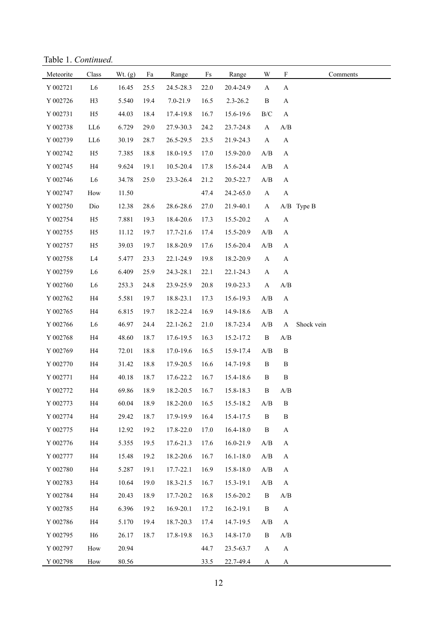Table 1. *Continued.*

| Meteorite          | Class          | Wt. $(g)$ | Fa   | Range     | $\mathop{\text{Fs}}$ | Range         | W                                                 | $\boldsymbol{\mathrm{F}}$ | Comments   |
|--------------------|----------------|-----------|------|-----------|----------------------|---------------|---------------------------------------------------|---------------------------|------------|
| Y 002721           | L <sub>6</sub> | 16.45     | 25.5 | 24.5-28.3 | 22.0                 | 20.4-24.9     | A                                                 | $\mathbf A$               |            |
| Y 002726           | H <sub>3</sub> | 5.540     | 19.4 | 7.0-21.9  | 16.5                 | $2.3 - 26.2$  | $\, {\bf B}$                                      | $\mathbf A$               |            |
| Y 002731           | H <sub>5</sub> | 44.03     | 18.4 | 17.4-19.8 | 16.7                 | 15.6-19.6     | $\rm{B/C}$                                        | $\mathbf{A}$              |            |
| Y 002738           | LL6            | 6.729     | 29.0 | 27.9-30.3 | 24.2                 | 23.7-24.8     | $\mathbf{A}$                                      | $\mathbf{A}/\mathbf{B}$   |            |
| Y 002739           | LL6            | 30.19     | 28.7 | 26.5-29.5 | 23.5                 | 21.9-24.3     | $\mathbf{A}$                                      | $\mathbf A$               |            |
| Y 002742           | H <sub>5</sub> | 7.385     | 18.8 | 18.0-19.5 | 17.0                 | 15.9-20.0     | A/B                                               | A                         |            |
| Y 002745           | H4             | 9.624     | 19.1 | 10.5-20.4 | 17.8                 | 15.6-24.4     | $\ensuremath{\mathrm{A}}/\ensuremath{\mathrm{B}}$ | A                         |            |
| Y 002746           | L <sub>6</sub> | 34.78     | 25.0 | 23.3-26.4 | 21.2                 | 20.5-22.7     | $\mathbf{A}/\mathbf{B}$                           | $\mathbf A$               |            |
| Y 002747           | How            | 11.50     |      |           | 47.4                 | 24.2-65.0     | $\mathbf{A}$                                      | $\mathbf A$               |            |
| Y 002750           | Dio            | 12.38     | 28.6 | 28.6-28.6 | 27.0                 | 21.9-40.1     | $\mathbf{A}$                                      |                           | A/B Type B |
| Y 002754           | H <sub>5</sub> | 7.881     | 19.3 | 18.4-20.6 | 17.3                 | 15.5-20.2     | $\mathbf{A}$                                      | $\mathbf A$               |            |
| Y 002755           | H <sub>5</sub> | 11.12     | 19.7 | 17.7-21.6 | 17.4                 | 15.5-20.9     | $\mathbf{A}/\mathbf{B}$                           | $\mathbf A$               |            |
| Y 002757           | H <sub>5</sub> | 39.03     | 19.7 | 18.8-20.9 | 17.6                 | 15.6-20.4     | A/B                                               | A                         |            |
| Y 002758           | L <sub>4</sub> | 5.477     | 23.3 | 22.1-24.9 | 19.8                 | 18.2-20.9     | $\mathbf{A}$                                      | A                         |            |
| Y 002759           | L <sub>6</sub> | 6.409     | 25.9 | 24.3-28.1 | 22.1                 | 22.1-24.3     | $\mathbf{A}$                                      | $\mathbf A$               |            |
| Y 002760           | L <sub>6</sub> | 253.3     | 24.8 | 23.9-25.9 | 20.8                 | 19.0-23.3     | $\mathbf A$                                       | $\mathbf{A}/\mathbf{B}$   |            |
| Y 002762           | H4             | 5.581     | 19.7 | 18.8-23.1 | 17.3                 | 15.6-19.3     | A/B                                               | A                         |            |
| Y 002765           | H4             | 6.815     | 19.7 | 18.2-22.4 | 16.9                 | 14.9-18.6     | A/B                                               | A                         |            |
| Y 002766           | L <sub>6</sub> | 46.97     | 24.4 | 22.1-26.2 | 21.0                 | 18.7-23.4     | $\mathbf{A}/\mathbf{B}$                           | A                         | Shock vein |
| Y 002768           | H4             | 48.60     | 18.7 | 17.6-19.5 | 16.3                 | 15.2-17.2     | $\, {\bf B}$                                      | A/B                       |            |
| Y 002769           | H4             | 72.01     | 18.8 | 17.0-19.6 | 16.5                 | 15.9-17.4     | A/B                                               | $\, {\bf B}$              |            |
| Y 002770           | H4             | 31.42     | 18.8 | 17.9-20.5 | 16.6                 | 14.7-19.8     | $\, {\bf B}$                                      | $\, {\bf B}$              |            |
| Y 002771           | H4             | 40.18     | 18.7 | 17.6-22.2 | 16.7                 | 15.4-18.6     | $\, {\bf B}$                                      | $\, {\bf B}$              |            |
| Y 002772           | H4             | 69.86     | 18.9 | 18.2-20.5 | 16.7                 | 15.8-18.3     | $\, {\bf B}$                                      | A/B                       |            |
| Y 002773           | H4             | 60.04     | 18.9 | 18.2-20.0 | 16.5                 | 15.5-18.2     | $\mathbf{A}/\mathbf{B}$                           | B                         |            |
| Y 002774           | H4             | 29.42     | 18.7 | 17.9-19.9 | 16.4                 | 15.4-17.5     | $\, {\bf B}$                                      | $\, {\bf B}$              |            |
| Y 002775           | H4             | 12.92     | 19.2 | 17.8-22.0 | 17.0                 | 16.4-18.0     | B                                                 | $\mathbf A$               |            |
| Y 002776           | H <sub>4</sub> | 5.355     | 19.5 | 17.6-21.3 | 17.6                 | 16.0-21.9     | A/B                                               | A                         |            |
| Y 002777           | H <sub>4</sub> | 15.48     | 19.2 | 18.2-20.6 | 16.7                 | $16.1 - 18.0$ | $\ensuremath{\mathrm{A}}/\ensuremath{\mathrm{B}}$ | A                         |            |
| $\mathbf Y$ 002780 | H4             | 5.287     | 19.1 | 17.7-22.1 | 16.9                 | 15.8-18.0     | $\ensuremath{\mathrm{A}}/\ensuremath{\mathrm{B}}$ | A                         |            |
| Y 002783           | H4             | 10.64     | 19.0 | 18.3-21.5 | 16.7                 | 15.3-19.1     | A/B                                               | $\mathbf{A}$              |            |
| Y 002784           | H <sub>4</sub> | 20.43     | 18.9 | 17.7-20.2 | 16.8                 | 15.6-20.2     | $\, {\bf B}$                                      | $\mathbf{A}/\mathbf{B}$   |            |
| Y 002785           | H4             | 6.396     | 19.2 | 16.9-20.1 | 17.2                 | 16.2-19.1     | B                                                 | $\mathbf{A}$              |            |
| Y 002786           | H4             | 5.170     | 19.4 | 18.7-20.3 | 17.4                 | 14.7-19.5     | A/B                                               | A                         |            |
| Y 002795           | H <sub>6</sub> | 26.17     | 18.7 | 17.8-19.8 | 16.3                 | 14.8-17.0     | B                                                 | A/B                       |            |
| Y 002797           | How            | 20.94     |      |           | 44.7                 | 23.5-63.7     | $\mathbf{A}$                                      | $\boldsymbol{\mathsf{A}}$ |            |
| Y 002798           | How            | 80.56     |      |           | 33.5                 | 22.7-49.4     | A                                                 | A                         |            |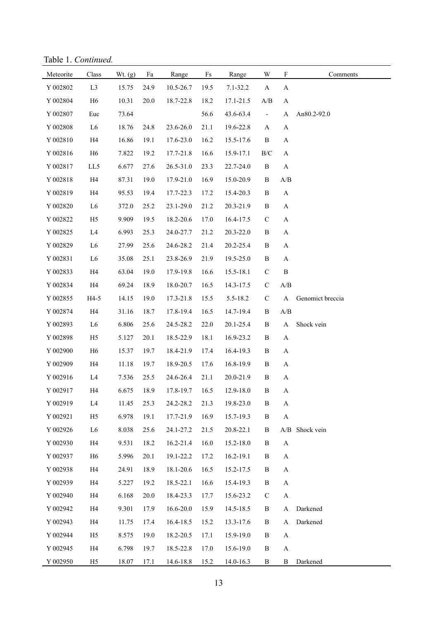Table 1. *Continued.*

| Meteorite          | Class          | Wt. (g) | Fa   | Range     | $\rm{Fs}$ | Range        | W                        | $\mathbf F$                                       | Comments         |
|--------------------|----------------|---------|------|-----------|-----------|--------------|--------------------------|---------------------------------------------------|------------------|
| Y 002802           | L <sub>3</sub> | 15.75   | 24.9 | 10.5-26.7 | 19.5      | $7.1 - 32.2$ | $\mathbf{A}$             | A                                                 |                  |
| Y 002804           | H <sub>6</sub> | 10.31   | 20.0 | 18.7-22.8 | 18.2      | 17.1-21.5    | A/B                      | $\mathbf{A}$                                      |                  |
| Y 002807           | Euc            | 73.64   |      |           | 56.6      | 43.6-63.4    | $\overline{\phantom{a}}$ | $\mathbf A$                                       | An80.2-92.0      |
| $\mathbf Y$ 002808 | L <sub>6</sub> | 18.76   | 24.8 | 23.6-26.0 | 21.1      | 19.6-22.8    | A                        | $\mathbf{A}$                                      |                  |
| Y 002810           | H4             | 16.86   | 19.1 | 17.6-23.0 | 16.2      | 15.5-17.6    | $\, {\bf B}$             | $\mathbf A$                                       |                  |
| Y 002816           | H <sub>6</sub> | 7.822   | 19.2 | 17.7-21.8 | 16.6      | 15.9-17.1    | $\rm{B/C}$               | $\mathbf{A}$                                      |                  |
| Y 002817           | LL5            | 6.677   | 27.6 | 26.5-31.0 | 23.3      | 22.7-24.0    | $\, {\bf B}$             | $\mathbf{A}$                                      |                  |
| Y 002818           | H4             | 87.31   | 19.0 | 17.9-21.0 | 16.9      | 15.0-20.9    | B                        | $\mathbf{A}/\mathbf{B}$                           |                  |
| Y 002819           | H4             | 95.53   | 19.4 | 17.7-22.3 | 17.2      | 15.4-20.3    | $\, {\bf B}$             | $\mathbf{A}$                                      |                  |
| Y 002820           | L <sub>6</sub> | 372.0   | 25.2 | 23.1-29.0 | 21.2      | 20.3-21.9    | $\, {\bf B}$             | $\mathbf{A}$                                      |                  |
| Y 002822           | H <sub>5</sub> | 9.909   | 19.5 | 18.2-20.6 | 17.0      | 16.4-17.5    | $\mathsf C$              | $\mathbf{A}$                                      |                  |
| Y 002825           | L4             | 6.993   | 25.3 | 24.0-27.7 | 21.2      | 20.3-22.0    | $\, {\bf B}$             | $\mathbf A$                                       |                  |
| Y 002829           | L <sub>6</sub> | 27.99   | 25.6 | 24.6-28.2 | 21.4      | 20.2-25.4    | $\, {\bf B}$             | $\mathbf A$                                       |                  |
| Y 002831           | L <sub>6</sub> | 35.08   | 25.1 | 23.8-26.9 | 21.9      | 19.5-25.0    | $\, {\bf B}$             | $\mathbf A$                                       |                  |
| Y 002833           | H4             | 63.04   | 19.0 | 17.9-19.8 | 16.6      | 15.5-18.1    | $\mathsf C$              | $\, {\bf B}$                                      |                  |
| Y 002834           | H4             | 69.24   | 18.9 | 18.0-20.7 | 16.5      | 14.3-17.5    | $\mathbf C$              | $\mathbf{A}/\mathbf{B}$                           |                  |
| Y 002855           | $H4-5$         | 14.15   | 19.0 | 17.3-21.8 | 15.5      | 5.5-18.2     | $\mathbf C$              | $\boldsymbol{\rm{A}}$                             | Genomict breccia |
| Y 002874           | H4             | 31.16   | 18.7 | 17.8-19.4 | 16.5      | 14.7-19.4    | $\, {\bf B}$             | $\ensuremath{\mathrm{A}}/\ensuremath{\mathrm{B}}$ |                  |
| Y 002893           | L <sub>6</sub> | 6.806   | 25.6 | 24.5-28.2 | 22.0      | 20.1-25.4    | $\, {\bf B}$             | A                                                 | Shock vein       |
| Y 002898           | H <sub>5</sub> | 5.127   | 20.1 | 18.5-22.9 | 18.1      | 16.9-23.2    | $\, {\bf B}$             | $\mathbf A$                                       |                  |
| Y 002900           | H <sub>6</sub> | 15.37   | 19.7 | 18.4-21.9 | 17.4      | 16.4-19.3    | $\, {\bf B}$             | $\mathbf A$                                       |                  |
| Y 002909           | H4             | 11.18   | 19.7 | 18.9-20.5 | 17.6      | 16.8-19.9    | $\, {\bf B}$             | $\mathbf A$                                       |                  |
| Y 002916           | L4             | 7.536   | 25.5 | 24.6-26.4 | 21.1      | 20.0-21.9    | B                        | $\mathbf A$                                       |                  |
| Y 002917           | H4             | 6.675   | 18.9 | 17.8-19.7 | 16.5      | 12.9-18.0    | $\, {\bf B}$             | $\mathbf A$                                       |                  |
| Y 002919           | L <sub>4</sub> | 11.45   | 25.3 | 24.2-28.2 | 21.3      | 19.8-23.0    | B                        | A                                                 |                  |
| Y 002921           | H <sub>5</sub> | 6.978   | 19.1 | 17.7-21.9 | 16.9      | 15.7-19.3    | $\, {\bf B}$             | $\boldsymbol{\mathsf{A}}$                         |                  |
| Y 002926           | L <sub>6</sub> | 8.038   | 25.6 | 24.1-27.2 | 21.5      | 20.8-22.1    | B                        | A/B                                               | Shock vein       |
| Y 002930           | H4             | 9.531   | 18.2 | 16.2-21.4 | 16.0      | 15.2-18.0    | B                        | $\boldsymbol{\mathsf{A}}$                         |                  |
| Y 002937           | H <sub>6</sub> | 5.996   | 20.1 | 19.1-22.2 | 17.2      | 16.2-19.1    | $\, {\bf B}$             | $\mathbf{A}$                                      |                  |
| Y 002938           | H4             | 24.91   | 18.9 | 18.1-20.6 | 16.5      | 15.2-17.5    | B                        | A                                                 |                  |
| Y 002939           | H4             | 5.227   | 19.2 | 18.5-22.1 | 16.6      | 15.4-19.3    | $\, {\bf B}$             | $\mathbf{A}$                                      |                  |
| Y 002940           | H4             | 6.168   | 20.0 | 18.4-23.3 | 17.7      | 15.6-23.2    | $\mathbf C$              | $\boldsymbol{\mathsf{A}}$                         |                  |
| Y 002942           | H4             | 9.301   | 17.9 | 16.6-20.0 | 15.9      | 14.5-18.5    | $\, {\bf B}$             | A                                                 | Darkened         |
| Y 002943           | H4             | 11.75   | 17.4 | 16.4-18.5 | 15.2      | 13.3-17.6    | $\, {\bf B}$             | A                                                 | Darkened         |
| Y 002944           | H <sub>5</sub> | 8.575   | 19.0 | 18.2-20.5 | 17.1      | 15.9-19.0    | $\, {\bf B}$             | $\mathbf{A}$                                      |                  |
| Y 002945           | H4             | 6.798   | 19.7 | 18.5-22.8 | 17.0      | 15.6-19.0    | $\, {\bf B}$             | $\mathbf{A}$                                      |                  |
| Y 002950           | H <sub>5</sub> | 18.07   | 17.1 | 14.6-18.8 | 15.2      | 14.0-16.3    | $\, {\bf B}$             | B                                                 | Darkened         |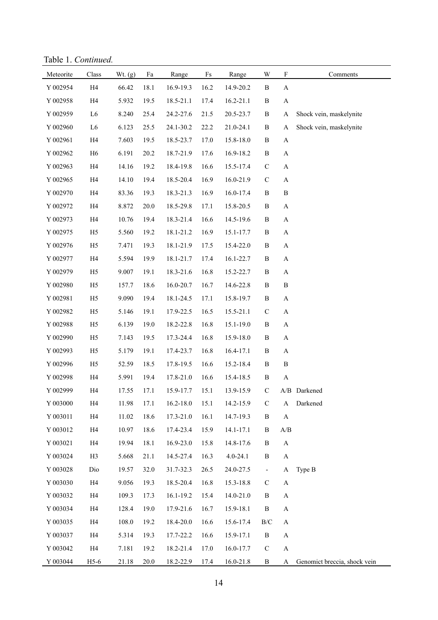Table 1. *Continued.*

| Meteorite      | Class          | Wt. (g) | Fa   | Range     | $\rm{Fs}$ | Range        | $\ensuremath{\text{W}}$ | ${\bf F}$                 | Comments                     |
|----------------|----------------|---------|------|-----------|-----------|--------------|-------------------------|---------------------------|------------------------------|
| Y 002954       | H4             | 66.42   | 18.1 | 16.9-19.3 | 16.2      | 14.9-20.2    | $\, {\bf B}$            | $\mathbf A$               |                              |
| Y 002958       | H4             | 5.932   | 19.5 | 18.5-21.1 | 17.4      | 16.2-21.1    | $\, {\bf B}$            | $\mathbf A$               |                              |
| Y 002959       | ${\rm L6}$     | 8.240   | 25.4 | 24.2-27.6 | 21.5      | 20.5-23.7    | $\, {\bf B}$            | A                         | Shock vein, maskelynite      |
| Y 002960       | L <sub>6</sub> | 6.123   | 25.5 | 24.1-30.2 | 22.2      | 21.0-24.1    | $\, {\bf B}$            | A                         | Shock vein, maskelynite      |
| Y 002961       | H4             | 7.603   | 19.5 | 18.5-23.7 | 17.0      | 15.8-18.0    | $\, {\bf B}$            | $\mathbf A$               |                              |
| Y 002962       | H <sub>6</sub> | 6.191   | 20.2 | 18.7-21.9 | 17.6      | 16.9-18.2    | $\, {\bf B}$            | $\mathbf A$               |                              |
| Y 002963       | H4             | 14.16   | 19.2 | 18.4-19.8 | 16.6      | 15.5-17.4    | $\mathbf C$             | $\mathbf A$               |                              |
| Y 002965       | H4             | 14.10   | 19.4 | 18.5-20.4 | 16.9      | 16.0-21.9    | ${\bf C}$               | $\mathbf A$               |                              |
| Y 002970       | H4             | 83.36   | 19.3 | 18.3-21.3 | 16.9      | 16.0-17.4    | $\, {\bf B}$            | $\, {\bf B}$              |                              |
| Y 002972       | H4             | 8.872   | 20.0 | 18.5-29.8 | 17.1      | 15.8-20.5    | $\, {\bf B}$            | $\mathbf A$               |                              |
| Y 002973       | H4             | 10.76   | 19.4 | 18.3-21.4 | 16.6      | 14.5-19.6    | $\, {\bf B}$            | $\mathbf A$               |                              |
| Y 002975       | H <sub>5</sub> | 5.560   | 19.2 | 18.1-21.2 | 16.9      | 15.1-17.7    | $\, {\bf B}$            | $\mathbf A$               |                              |
| Y 002976       | H <sub>5</sub> | 7.471   | 19.3 | 18.1-21.9 | 17.5      | 15.4-22.0    | $\, {\bf B}$            | $\boldsymbol{A}$          |                              |
| Y 002977       | H4             | 5.594   | 19.9 | 18.1-21.7 | 17.4      | 16.1-22.7    | $\, {\bf B}$            | $\boldsymbol{A}$          |                              |
| Y 002979       | H <sub>5</sub> | 9.007   | 19.1 | 18.3-21.6 | 16.8      | 15.2-22.7    | $\, {\bf B}$            | $\boldsymbol{A}$          |                              |
| Y 002980       | H <sub>5</sub> | 157.7   | 18.6 | 16.0-20.7 | 16.7      | 14.6-22.8    | $\, {\bf B}$            | $\, {\bf B}$              |                              |
| Y 002981       | H <sub>5</sub> | 9.090   | 19.4 | 18.1-24.5 | 17.1      | 15.8-19.7    | $\, {\bf B}$            | $\mathbf A$               |                              |
| Y 002982       | H <sub>5</sub> | 5.146   | 19.1 | 17.9-22.5 | 16.5      | 15.5-21.1    | $\mathbf C$             | $\mathbf A$               |                              |
| Y 002988       | H <sub>5</sub> | 6.139   | 19.0 | 18.2-22.8 | 16.8      | 15.1-19.0    | $\, {\bf B}$            | $\mathbf A$               |                              |
| Y 002990       | H <sub>5</sub> | 7.143   | 19.5 | 17.3-24.4 | 16.8      | 15.9-18.0    | $\, {\bf B}$            | $\mathbf A$               |                              |
| Y 002993       | H <sub>5</sub> | 5.179   | 19.1 | 17.4-23.7 | 16.8      | 16.4-17.1    | $\, {\bf B}$            | $\mathbf A$               |                              |
| Y 002996       | H <sub>5</sub> | 52.59   | 18.5 | 17.8-19.5 | 16.6      | 15.2-18.4    | B                       | $\, {\bf B}$              |                              |
| Y 002998       | H4             | 5.991   | 19.4 | 17.8-21.0 | 16.6      | 15.4-18.5    | $\, {\bf B}$            | $\boldsymbol{\mathsf{A}}$ |                              |
| Y 002999       | H4             | 17.55   | 17.1 | 15.9-17.7 | 15.1      | 13.9-15.9    | $\mathbf C$             |                           | A/B Darkened                 |
| Y 003000       | H4             | 11.98   | 17.1 | 16.2-18.0 | 15.1      | 14.2-15.9    | $\mathbf C$             | A                         | Darkened                     |
| Y 003011       | H4             | 11.02   | 18.6 | 17.3-21.0 | 16.1      | 14.7-19.3    | $\, {\bf B}$            | $\boldsymbol{\rm{A}}$     |                              |
| Y 003012       | H4             | 10.97   | 18.6 | 17.4-23.4 | 15.9      | 14.1-17.1    | B                       | A/B                       |                              |
| Y 003021       | H4             | 19.94   | 18.1 | 16.9-23.0 | 15.8      | 14.8-17.6    | $\, {\bf B}$            | $\mathbf A$               |                              |
| Y 003024       | H <sub>3</sub> | 5.668   | 21.1 | 14.5-27.4 | 16.3      | $4.0 - 24.1$ | B                       | $\boldsymbol{\rm{A}}$     |                              |
| Y 003028       | Dio            | 19.57   | 32.0 | 31.7-32.3 | 26.5      | 24.0-27.5    | $\qquad \qquad -$       | A                         | Type B                       |
| Y 003030       | H4             | 9.056   | 19.3 | 18.5-20.4 | 16.8      | 15.3-18.8    | $\mathbf C$             | A                         |                              |
| Y 003032       | H4             | 109.3   | 17.3 | 16.1-19.2 | 15.4      | 14.0-21.0    | $\, {\bf B}$            | $\boldsymbol{\rm{A}}$     |                              |
| $\rm Y$ 003034 | H4             | 128.4   | 19.0 | 17.9-21.6 | 16.7      | 15.9-18.1    | B                       | $\boldsymbol{\rm{A}}$     |                              |
| Y 003035       | H4             | 108.0   | 19.2 | 18.4-20.0 | 16.6      | 15.6-17.4    | B/C                     | $\boldsymbol{\rm{A}}$     |                              |
| Y 003037       | H <sub>4</sub> | 5.314   | 19.3 | 17.7-22.2 | 16.6      | 15.9-17.1    | $\, {\bf B}$            | A                         |                              |
| Y 003042       | H4             | 7.181   | 19.2 | 18.2-21.4 | 17.0      | 16.0-17.7    | $\mathbf C$             | $\boldsymbol{\mathsf{A}}$ |                              |
| Y 003044       | $H5-6$         | 21.18   | 20.0 | 18.2-22.9 | 17.4      | 16.0-21.8    | $\, {\bf B}$            | A                         | Genomict breccia, shock vein |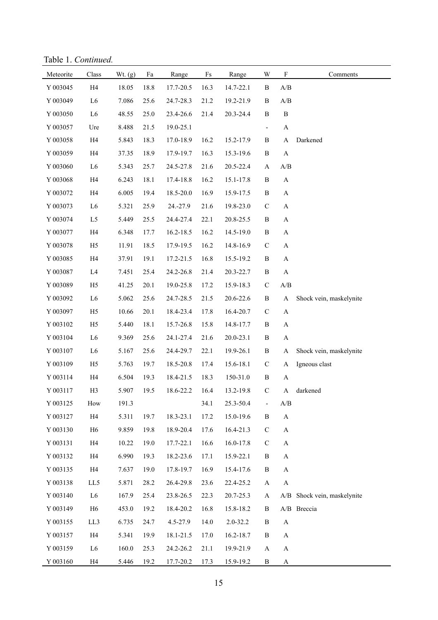Table 1. *Continued.*

| Meteorite      | Class          | Wt. (g) | Fa   | Range     | $\rm{Fs}$ | Range        | W                        | $\boldsymbol{\mathrm{F}}$                         | Comments                    |
|----------------|----------------|---------|------|-----------|-----------|--------------|--------------------------|---------------------------------------------------|-----------------------------|
| Y 003045       | H4             | 18.05   | 18.8 | 17.7-20.5 | 16.3      | 14.7-22.1    | B                        | A/B                                               |                             |
| Y 003049       | L <sub>6</sub> | 7.086   | 25.6 | 24.7-28.3 | 21.2      | 19.2-21.9    | $\, {\bf B}$             | A/B                                               |                             |
| Y 003050       | L <sub>6</sub> | 48.55   | 25.0 | 23.4-26.6 | 21.4      | 20.3-24.4    | $\, {\bf B}$             | $\, {\bf B}$                                      |                             |
| Y 003057       | Ure            | 8.488   | 21.5 | 19.0-25.1 |           |              | $\overline{\phantom{a}}$ | $\mathbf A$                                       |                             |
| Y 003058       | H4             | 5.843   | 18.3 | 17.0-18.9 | 16.2      | 15.2-17.9    | $\, {\bf B}$             | $\mathbf A$                                       | Darkened                    |
| Y 003059       | H4             | 37.35   | 18.9 | 17.9-19.7 | 16.3      | 15.3-19.6    | $\, {\bf B}$             | A                                                 |                             |
| Y 003060       | L <sub>6</sub> | 5.343   | 25.7 | 24.5-27.8 | 21.6      | 20.5-22.4    | $\mathbf{A}$             | A/B                                               |                             |
| Y 003068       | H4             | 6.243   | 18.1 | 17.4-18.8 | 16.2      | 15.1-17.8    | $\, {\bf B}$             | $\boldsymbol{\mathsf{A}}$                         |                             |
| Y 003072       | H4             | 6.005   | 19.4 | 18.5-20.0 | 16.9      | 15.9-17.5    | $\, {\bf B}$             | $\mathbf{A}$                                      |                             |
| Y 003073       | L <sub>6</sub> | 5.321   | 25.9 | 24.-27.9  | 21.6      | 19.8-23.0    | ${\bf C}$                | $\mathbf{A}$                                      |                             |
| Y 003074       | L5             | 5.449   | 25.5 | 24.4-27.4 | 22.1      | 20.8-25.5    | $\, {\bf B}$             | $\mathbf A$                                       |                             |
| Y 003077       | H4             | 6.348   | 17.7 | 16.2-18.5 | 16.2      | 14.5-19.0    | $\, {\bf B}$             | $\mathbf{A}$                                      |                             |
| Y 003078       | H <sub>5</sub> | 11.91   | 18.5 | 17.9-19.5 | 16.2      | 14.8-16.9    | $\mathbf C$              | $\mathbf{A}$                                      |                             |
| Y 003085       | H4             | 37.91   | 19.1 | 17.2-21.5 | 16.8      | 15.5-19.2    | $\, {\bf B}$             | $\mathbf{A}$                                      |                             |
| Y 003087       | L4             | 7.451   | 25.4 | 24.2-26.8 | 21.4      | 20.3-22.7    | $\, {\bf B}$             | $\boldsymbol{\mathsf{A}}$                         |                             |
| Y 003089       | H <sub>5</sub> | 41.25   | 20.1 | 19.0-25.8 | 17.2      | 15.9-18.3    | $\mathbf C$              | $\ensuremath{\mathrm{A}}/\ensuremath{\mathrm{B}}$ |                             |
| Y 003092       | L <sub>6</sub> | 5.062   | 25.6 | 24.7-28.5 | 21.5      | 20.6-22.6    | $\, {\bf B}$             | $\mathbf A$                                       | Shock vein, maskelynite     |
| Y 003097       | H <sub>5</sub> | 10.66   | 20.1 | 18.4-23.4 | 17.8      | 16.4-20.7    | $\mathbf C$              | $\boldsymbol{\rm{A}}$                             |                             |
| Y 003102       | H <sub>5</sub> | 5.440   | 18.1 | 15.7-26.8 | 15.8      | 14.8-17.7    | $\, {\bf B}$             | $\mathbf{A}$                                      |                             |
| Y 003104       | L <sub>6</sub> | 9.369   | 25.6 | 24.1-27.4 | 21.6      | 20.0-23.1    | $\, {\bf B}$             | $\mathbf{A}$                                      |                             |
| Y 003107       | L <sub>6</sub> | 5.167   | 25.6 | 24.4-29.7 | 22.1      | 19.9-26.1    | $\, {\bf B}$             | A                                                 | Shock vein, maskelynite     |
| Y 003109       | H <sub>5</sub> | 5.763   | 19.7 | 18.5-20.8 | 17.4      | 15.6-18.1    | $\mathbf C$              | A                                                 | Igneous clast               |
| Y 003114       | H4             | 6.504   | 19.3 | 18.4-21.5 | 18.3      | 150-31.0     | $\, {\bf B}$             | A                                                 |                             |
| Y 003117       | H <sub>3</sub> | 5.907   | 19.5 | 18.6-22.2 | 16.4      | 13.2-19.8    | $\mathbf C$              | A                                                 | darkened                    |
| Y 003125       | How            | 191.3   |      |           | 34.1      | 25.3-50.4    | $\overline{\phantom{0}}$ | $\mathbf{A}/\mathbf{B}$                           |                             |
| Y 003127       | H4             | 5.311   | 19.7 | 18.3-23.1 | 17.2      | 15.0-19.6    | B                        | $\boldsymbol{\rm{A}}$                             |                             |
| Y 003130       | H <sub>6</sub> | 9.859   | 19.8 | 18.9-20.4 | 17.6      | 16.4-21.3    | $\mathbf C$              | $\mathbf{A}$                                      |                             |
| Y 003131       | H4             | 10.22   | 19.0 | 17.7-22.1 | 16.6      | 16.0-17.8    | $\mathbf C$              | A                                                 |                             |
| Y 003132       | H4             | 6.990   | 19.3 | 18.2-23.6 | 17.1      | 15.9-22.1    | $\, {\bf B}$             | A                                                 |                             |
| Y 003135       | H4             | 7.637   | 19.0 | 17.8-19.7 | 16.9      | 15.4-17.6    | $\, {\bf B}$             | $\boldsymbol{\rm{A}}$                             |                             |
| Y 003138       | LL5            | 5.871   | 28.2 | 26.4-29.8 | 23.6      | 22.4-25.2    | A                        | $\boldsymbol{\mathsf{A}}$                         |                             |
| Y 003140       | L <sub>6</sub> | 167.9   | 25.4 | 23.8-26.5 | 22.3      | 20.7-25.3    | A                        |                                                   | A/B Shock vein, maskelynite |
| Y 003149       | H <sub>6</sub> | 453.0   | 19.2 | 18.4-20.2 | 16.8      | 15.8-18.2    | $\, {\bf B}$             |                                                   | A/B Breccia                 |
| Y 003155       | LL3            | 6.735   | 24.7 | 4.5-27.9  | 14.0      | $2.0 - 32.2$ | $\, {\bf B}$             | $\boldsymbol{\rm{A}}$                             |                             |
| Y 003157       | H4             | 5.341   | 19.9 | 18.1-21.5 | 17.0      | 16.2-18.7    | $\, {\bf B}$             | $\mathbf{A}$                                      |                             |
| Y 003159       | L <sub>6</sub> | 160.0   | 25.3 | 24.2-26.2 | 21.1      | 19.9-21.9    | A                        | $\boldsymbol{\rm{A}}$                             |                             |
| $\rm Y$ 003160 | H <sub>4</sub> | 5.446   | 19.2 | 17.7-20.2 | 17.3      | 15.9-19.2    | $\, {\bf B}$             | $\mathbf{A}$                                      |                             |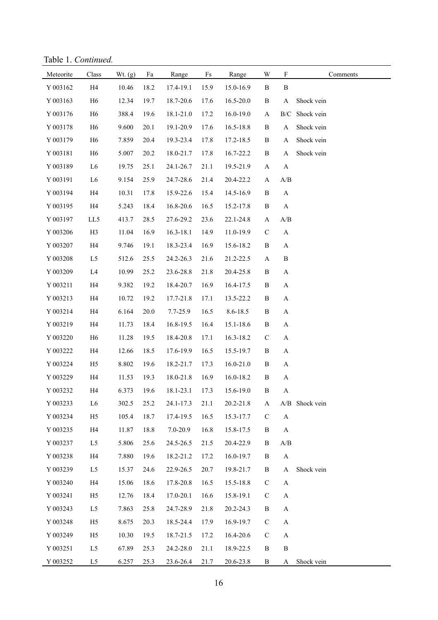Table 1. *Continued.*

| Meteorite | Class          | Wt. (g) | Fa   | Range         | $\mathop{\text{Fs}}$ | Range         | W            | $\mathbf F$                                       | Comments       |
|-----------|----------------|---------|------|---------------|----------------------|---------------|--------------|---------------------------------------------------|----------------|
| Y 003162  | H4             | 10.46   | 18.2 | 17.4-19.1     | 15.9                 | 15.0-16.9     | $\, {\bf B}$ | $\, {\bf B}$                                      |                |
| Y 003163  | H <sub>6</sub> | 12.34   | 19.7 | 18.7-20.6     | 17.6                 | 16.5-20.0     | $\, {\bf B}$ | $\mathbf{A}$                                      | Shock vein     |
| Y 003176  | H <sub>6</sub> | 388.4   | 19.6 | 18.1-21.0     | 17.2                 | 16.0-19.0     | $\mathbf{A}$ | B/C                                               | Shock vein     |
| Y 003178  | H <sub>6</sub> | 9.600   | 20.1 | 19.1-20.9     | 17.6                 | 16.5-18.8     | $\, {\bf B}$ | $\mathbf{A}$                                      | Shock vein     |
| Y 003179  | H <sub>6</sub> | 7.859   | 20.4 | 19.3-23.4     | 17.8                 | 17.2-18.5     | $\, {\bf B}$ | A                                                 | Shock vein     |
| Y 003181  | H <sub>6</sub> | 5.007   | 20.2 | 18.0-21.7     | 17.8                 | 16.7-22.2     | $\, {\bf B}$ | $\mathbf{A}$                                      | Shock vein     |
| Y 003189  | ${\rm L6}$     | 19.75   | 25.1 | 24.1-26.7     | 21.1                 | 19.5-21.9     | $\mathbf{A}$ | $\mathbf{A}$                                      |                |
| Y 003191  | ${\rm L6}$     | 9.154   | 25.9 | 24.7-28.6     | 21.4                 | 20.4-22.2     | $\mathbf{A}$ | $\ensuremath{\mathrm{A}}/\ensuremath{\mathrm{B}}$ |                |
| Y 003194  | H4             | 10.31   | 17.8 | 15.9-22.6     | 15.4                 | 14.5-16.9     | $\, {\bf B}$ | $\mathbf{A}$                                      |                |
| Y 003195  | H4             | 5.243   | 18.4 | 16.8-20.6     | 16.5                 | 15.2-17.8     | $\, {\bf B}$ | $\boldsymbol{\rm{A}}$                             |                |
| Y 003197  | LL5            | 413.7   | 28.5 | 27.6-29.2     | 23.6                 | 22.1-24.8     | $\mathbf{A}$ | A/B                                               |                |
| Y 003206  | H <sub>3</sub> | 11.04   | 16.9 | $16.3 - 18.1$ | 14.9                 | 11.0-19.9     | $\mathbf C$  | $\mathbf{A}$                                      |                |
| Y 003207  | H4             | 9.746   | 19.1 | 18.3-23.4     | 16.9                 | 15.6-18.2     | $\, {\bf B}$ | $\mathbf{A}$                                      |                |
| Y 003208  | L <sub>5</sub> | 512.6   | 25.5 | 24.2-26.3     | 21.6                 | 21.2-22.5     | $\mathbf{A}$ | $\, {\bf B}$                                      |                |
| Y 003209  | L4             | 10.99   | 25.2 | 23.6-28.8     | 21.8                 | 20.4-25.8     | $\, {\bf B}$ | $\mathbf{A}$                                      |                |
| Y 003211  | H4             | 9.382   | 19.2 | 18.4-20.7     | 16.9                 | 16.4-17.5     | $\, {\bf B}$ | $\mathbf{A}$                                      |                |
| Y 003213  | H4             | 10.72   | 19.2 | 17.7-21.8     | 17.1                 | 13.5-22.2     | B            | $\mathbf{A}$                                      |                |
| Y 003214  | H4             | 6.164   | 20.0 | 7.7-25.9      | 16.5                 | 8.6-18.5      | $\, {\bf B}$ | $\mathbf{A}$                                      |                |
| Y 003219  | H4             | 11.73   | 18.4 | 16.8-19.5     | 16.4                 | 15.1-18.6     | $\, {\bf B}$ | $\mathbf{A}$                                      |                |
| Y 003220  | H <sub>6</sub> | 11.28   | 19.5 | 18.4-20.8     | 17.1                 | 16.3-18.2     | $\mathbf C$  | $\mathbf{A}$                                      |                |
| Y 003222  | H4             | 12.66   | 18.5 | 17.6-19.9     | 16.5                 | 15.5-19.7     | $\, {\bf B}$ | $\mathbf{A}$                                      |                |
| Y 003224  | H <sub>5</sub> | 8.802   | 19.6 | 18.2-21.7     | 17.3                 | $16.0 - 21.0$ | $\, {\bf B}$ | $\mathbf{A}$                                      |                |
| Y 003229  | H4             | 11.53   | 19.3 | 18.0-21.8     | 16.9                 | 16.0-18.2     | $\, {\bf B}$ | $\mathbf{A}$                                      |                |
| Y 003232  | H4             | 6.373   | 19.6 | 18.1-23.1     | 17.3                 | 15.6-19.0     | $\, {\bf B}$ | $\mathbf{A}$                                      |                |
| Y 003233  | L <sub>6</sub> | 302.5   | 25.2 | 24.1-17.3     | 21.1                 | 20.2-21.8     | $\mathbf{A}$ |                                                   | A/B Shock vein |
| Y 003234  | H <sub>5</sub> | 105.4   | 18.7 | 17.4-19.5     | 16.5                 | 15.3-17.7     | $\mathbf C$  | $\boldsymbol{\rm{A}}$                             |                |
| Y 003235  | H4             | 11.87   | 18.8 | 7.0-20.9      | 16.8                 | 15.8-17.5     | $\, {\bf B}$ | $\mathbf{A}$                                      |                |
| Y 003237  | L <sub>5</sub> | 5.806   | 25.6 | 24.5-26.5     | 21.5                 | 20.4-22.9     | B            | A/B                                               |                |
| Y 003238  | H4             | 7.880   | 19.6 | 18.2-21.2     | 17.2                 | 16.0-19.7     | $\, {\bf B}$ | $\mathbf{A}$                                      |                |
| Y 003239  | L <sub>5</sub> | 15.37   | 24.6 | 22.9-26.5     | 20.7                 | 19.8-21.7     | B            | $\mathbf{A}$                                      | Shock vein     |
| Y 003240  | H4             | 15.06   | 18.6 | 17.8-20.8     | 16.5                 | 15.5-18.8     | $\mathbf C$  | $\mathbf{A}$                                      |                |
| Y 003241  | H <sub>5</sub> | 12.76   | 18.4 | 17.0-20.1     | 16.6                 | 15.8-19.1     | $\mathbf C$  | $\mathbf{A}$                                      |                |
| Y 003243  | L <sub>5</sub> | 7.863   | 25.8 | 24.7-28.9     | 21.8                 | 20.2-24.3     | B            | $\mathbf{A}$                                      |                |
| Y 003248  | H <sub>5</sub> | 8.675   | 20.3 | 18.5-24.4     | 17.9                 | 16.9-19.7     | $\mathbf C$  | $\mathbf{A}$                                      |                |
| Y 003249  | H <sub>5</sub> | 10.30   | 19.5 | 18.7-21.5     | 17.2                 | 16.4-20.6     | $\mathbf C$  | $\mathbf{A}$                                      |                |
| Y 003251  | L <sub>5</sub> | 67.89   | 25.3 | 24.2-28.0     | 21.1                 | 18.9-22.5     | B            | $\, {\bf B}$                                      |                |
| Y 003252  | L5             | 6.257   | 25.3 | 23.6-26.4     | 21.7                 | 20.6-23.8     | $\, {\bf B}$ | $\mathbf{A}$                                      | Shock vein     |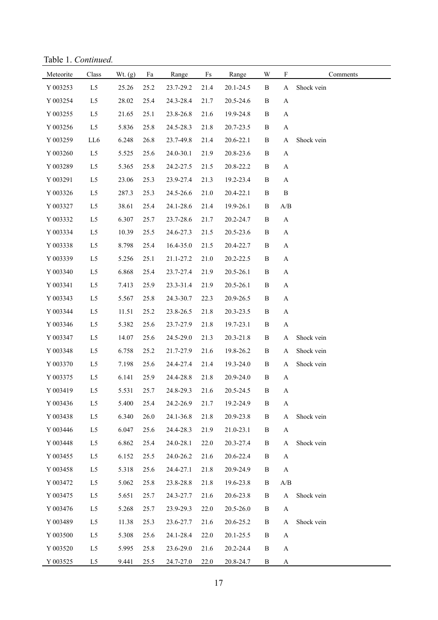Table 1. *Continued.*

| Meteorite | Class          | Wt. (g) | Fa   | Range     | $\rm{Fs}$ | Range     | W            | $\mathbf F$               | Comments   |
|-----------|----------------|---------|------|-----------|-----------|-----------|--------------|---------------------------|------------|
| Y 003253  | L <sub>5</sub> | 25.26   | 25.2 | 23.7-29.2 | 21.4      | 20.1-24.5 | $\, {\bf B}$ | A                         | Shock vein |
| Y 003254  | L5             | 28.02   | 25.4 | 24.3-28.4 | 21.7      | 20.5-24.6 | $\, {\bf B}$ | $\mathbf{A}$              |            |
| Y 003255  | L5             | 21.65   | 25.1 | 23.8-26.8 | 21.6      | 19.9-24.8 | B            | $\mathbf{A}$              |            |
| Y 003256  | L5             | 5.836   | 25.8 | 24.5-28.3 | 21.8      | 20.7-23.5 | B            | $\mathbf{A}$              |            |
| Y 003259  | LL6            | 6.248   | 26.8 | 23.7-49.8 | 21.4      | 20.6-22.1 | $\, {\bf B}$ | $\mathbf A$               | Shock vein |
| Y 003260  | L5             | 5.525   | 25.6 | 24.0-30.1 | 21.9      | 20.8-23.6 | $\, {\bf B}$ | $\mathbf A$               |            |
| Y 003289  | L5             | 5.365   | 25.8 | 24.2-27.5 | 21.5      | 20.8-22.2 | $\, {\bf B}$ | $\mathbf{A}$              |            |
| Y 003291  | L <sub>5</sub> | 23.06   | 25.3 | 23.9-27.4 | 21.3      | 19.2-23.4 | B            | $\mathbf{A}$              |            |
| Y 003326  | L5             | 287.3   | 25.3 | 24.5-26.6 | 21.0      | 20.4-22.1 | B            | $\, {\bf B}$              |            |
| Y 003327  | L5             | 38.61   | 25.4 | 24.1-28.6 | 21.4      | 19.9-26.1 | B            | $\mathbf{A}/\mathbf{B}$   |            |
| Y 003332  | L5             | 6.307   | 25.7 | 23.7-28.6 | 21.7      | 20.2-24.7 | B            | $\mathbf{A}$              |            |
| Y 003334  | L <sub>5</sub> | 10.39   | 25.5 | 24.6-27.3 | 21.5      | 20.5-23.6 | $\, {\bf B}$ | $\mathbf A$               |            |
| Y 003338  | L5             | 8.798   | 25.4 | 16.4-35.0 | 21.5      | 20.4-22.7 | $\, {\bf B}$ | $\mathbf A$               |            |
| Y 003339  | L <sub>5</sub> | 5.256   | 25.1 | 21.1-27.2 | 21.0      | 20.2-22.5 | $\, {\bf B}$ | $\mathbf A$               |            |
| Y 003340  | L5             | 6.868   | 25.4 | 23.7-27.4 | 21.9      | 20.5-26.1 | $\, {\bf B}$ | $\mathbf A$               |            |
| Y 003341  | L <sub>5</sub> | 7.413   | 25.9 | 23.3-31.4 | 21.9      | 20.5-26.1 | $\, {\bf B}$ | $\mathbf A$               |            |
| Y 003343  | L <sub>5</sub> | 5.567   | 25.8 | 24.3-30.7 | 22.3      | 20.9-26.5 | $\, {\bf B}$ | $\mathbf A$               |            |
| Y 003344  | L <sub>5</sub> | 11.51   | 25.2 | 23.8-26.5 | 21.8      | 20.3-23.5 | $\, {\bf B}$ | $\mathbf A$               |            |
| Y 003346  | L5             | 5.382   | 25.6 | 23.7-27.9 | 21.8      | 19.7-23.1 | $\, {\bf B}$ | A                         |            |
| Y 003347  | L <sub>5</sub> | 14.07   | 25.6 | 24.5-29.0 | 21.3      | 20.3-21.8 | $\, {\bf B}$ | A                         | Shock vein |
| Y 003348  | L <sub>5</sub> | 6.758   | 25.2 | 21.7-27.9 | 21.6      | 19.8-26.2 | $\, {\bf B}$ | A                         | Shock vein |
| Y 003370  | L <sub>5</sub> | 7.198   | 25.6 | 24.4-27.4 | 21.4      | 19.3-24.0 | $\, {\bf B}$ | A                         | Shock vein |
| Y 003375  | L <sub>5</sub> | 6.141   | 25.9 | 24.4-28.8 | 21.8      | 20.9-24.0 | B            | $\mathbf A$               |            |
| Y 003419  | L <sub>5</sub> | 5.531   | 25.7 | 24.8-29.3 | 21.6      | 20.5-24.5 | $\, {\bf B}$ | $\mathbf A$               |            |
| Y 003436  | L5             | 5.400   | 25.4 | 24.2-26.9 | 21.7      | 19.2-24.9 | B            | A                         |            |
| Y 003438  | L <sub>5</sub> | 6.340   | 26.0 | 24.1-36.8 | 21.8      | 20.9-23.8 | $\, {\bf B}$ | A                         | Shock vein |
| Y 003446  | L <sub>5</sub> | 6.047   | 25.6 | 24.4-28.3 | 21.9      | 21.0-23.1 | B            | A                         |            |
| Y 003448  | L <sub>5</sub> | 6.862   | 25.4 | 24.0-28.1 | 22.0      | 20.3-27.4 | B            | A                         | Shock vein |
| Y 003455  | L5             | 6.152   | 25.5 | 24.0-26.2 | 21.6      | 20.6-22.4 | B            | A                         |            |
| Y 003458  | L <sub>5</sub> | 5.318   | 25.6 | 24.4-27.1 | 21.8      | 20.9-24.9 | B            | $\boldsymbol{\mathsf{A}}$ |            |
| Y 003472  | L <sub>5</sub> | 5.062   | 25.8 | 23.8-28.8 | 21.8      | 19.6-23.8 | B            | $\mathbf{A}/\mathbf{B}$   |            |
| Y 003475  | L5             | 5.651   | 25.7 | 24.3-27.7 | 21.6      | 20.6-23.8 | B            | $\boldsymbol{\rm{A}}$     | Shock vein |
| Y 003476  | L5             | 5.268   | 25.7 | 23.9-29.3 | 22.0      | 20.5-26.0 | B            | $\mathbf{A}$              |            |
| Y 003489  | L5             | 11.38   | 25.3 | 23.6-27.7 | 21.6      | 20.6-25.2 | B            | A                         | Shock vein |
| Y 003500  | L5             | 5.308   | 25.6 | 24.1-28.4 | 22.0      | 20.1-25.5 | B            | $\mathbf{A}$              |            |
| Y 003520  | L5             | 5.995   | 25.8 | 23.6-29.0 | 21.6      | 20.2-24.4 | B            | $\mathbf{A}$              |            |
| Y 003525  | L5             | 9.441   | 25.5 | 24.7-27.0 | 22.0      | 20.8-24.7 | B            | $\mathbf{A}$              |            |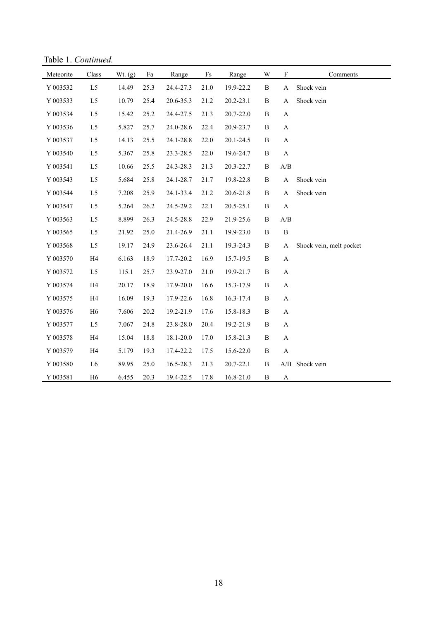Table 1. *Continued.*

| Meteorite | Class          | Wt. $(g)$ | Fa   | Range     | $\rm{Fs}$ | Range     | W            | $\boldsymbol{\mathrm{F}}$ | Comments                |
|-----------|----------------|-----------|------|-----------|-----------|-----------|--------------|---------------------------|-------------------------|
| Y 003532  | L <sub>5</sub> | 14.49     | 25.3 | 24.4-27.3 | 21.0      | 19.9-22.2 | $\, {\bf B}$ | A                         | Shock vein              |
| Y 003533  | L5             | 10.79     | 25.4 | 20.6-35.3 | 21.2      | 20.2-23.1 | $\, {\bf B}$ | A                         | Shock vein              |
| Y 003534  | L5             | 15.42     | 25.2 | 24.4-27.5 | 21.3      | 20.7-22.0 | $\, {\bf B}$ | A                         |                         |
| Y 003536  | L5             | 5.827     | 25.7 | 24.0-28.6 | 22.4      | 20.9-23.7 | $\, {\bf B}$ | $\boldsymbol{\mathsf{A}}$ |                         |
| Y 003537  | L <sub>5</sub> | 14.13     | 25.5 | 24.1-28.8 | 22.0      | 20.1-24.5 | B            | A                         |                         |
| Y 003540  | L5             | 5.367     | 25.8 | 23.3-28.5 | 22.0      | 19.6-24.7 | $\, {\bf B}$ | $\boldsymbol{\rm{A}}$     |                         |
| Y 003541  | L5             | 10.66     | 25.5 | 24.3-28.3 | 21.3      | 20.3-22.7 | $\, {\bf B}$ | A/B                       |                         |
| Y 003543  | L <sub>5</sub> | 5.684     | 25.8 | 24.1-28.7 | 21.7      | 19.8-22.8 | $\, {\bf B}$ | $\boldsymbol{\rm{A}}$     | Shock vein              |
| Y 003544  | L <sub>5</sub> | 7.208     | 25.9 | 24.1-33.4 | 21.2      | 20.6-21.8 | $\, {\bf B}$ | A                         | Shock vein              |
| Y 003547  | L <sub>5</sub> | 5.264     | 26.2 | 24.5-29.2 | 22.1      | 20.5-25.1 | B            | $\boldsymbol{\mathsf{A}}$ |                         |
| Y 003563  | L <sub>5</sub> | 8.899     | 26.3 | 24.5-28.8 | 22.9      | 21.9-25.6 | $\, {\bf B}$ | A/B                       |                         |
| Y 003565  | L <sub>5</sub> | 21.92     | 25.0 | 21.4-26.9 | 21.1      | 19.9-23.0 | $\, {\bf B}$ | $\, {\bf B}$              |                         |
| Y 003568  | L5             | 19.17     | 24.9 | 23.6-26.4 | 21.1      | 19.3-24.3 | $\, {\bf B}$ | A                         | Shock vein, melt pocket |
| Y 003570  | H4             | 6.163     | 18.9 | 17.7-20.2 | 16.9      | 15.7-19.5 | $\, {\bf B}$ | $\mathbf{A}$              |                         |
| Y 003572  | L <sub>5</sub> | 115.1     | 25.7 | 23.9-27.0 | 21.0      | 19.9-21.7 | B            | $\mathbf{A}$              |                         |
| Y 003574  | H4             | 20.17     | 18.9 | 17.9-20.0 | 16.6      | 15.3-17.9 | $\, {\bf B}$ | $\mathbf{A}$              |                         |
| Y 003575  | H4             | 16.09     | 19.3 | 17.9-22.6 | 16.8      | 16.3-17.4 | $\, {\bf B}$ | A                         |                         |
| Y 003576  | H <sub>6</sub> | 7.606     | 20.2 | 19.2-21.9 | 17.6      | 15.8-18.3 | $\, {\bf B}$ | $\boldsymbol{\rm{A}}$     |                         |
| Y 003577  | L <sub>5</sub> | 7.067     | 24.8 | 23.8-28.0 | 20.4      | 19.2-21.9 | $\, {\bf B}$ | $\boldsymbol{\mathsf{A}}$ |                         |
| Y 003578  | H4             | 15.04     | 18.8 | 18.1-20.0 | 17.0      | 15.8-21.3 | $\, {\bf B}$ | $\boldsymbol{\mathsf{A}}$ |                         |
| Y 003579  | H4             | 5.179     | 19.3 | 17.4-22.2 | 17.5      | 15.6-22.0 | $\, {\bf B}$ | $\mathbf{A}$              |                         |
| Y 003580  | L <sub>6</sub> | 89.95     | 25.0 | 16.5-28.3 | 21.3      | 20.7-22.1 | $\, {\bf B}$ |                           | A/B Shock vein          |
| Y 003581  | H <sub>6</sub> | 6.455     | 20.3 | 19.4-22.5 | 17.8      | 16.8-21.0 | B            | A                         |                         |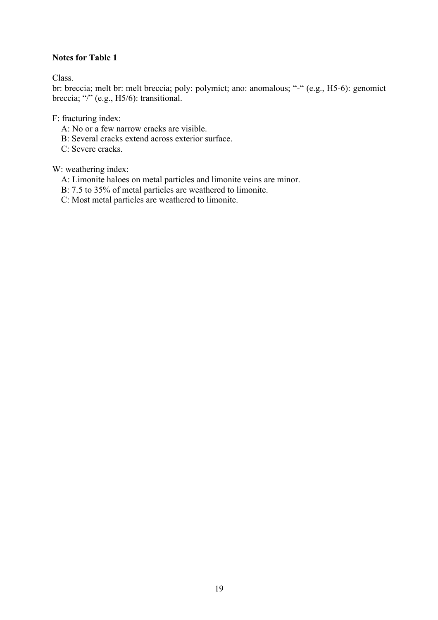## **Notes for Table 1**

Class.

br: breccia; melt br: melt breccia; poly: polymict; ano: anomalous; "-" (e.g., H5-6): genomict breccia; "/" (e.g., H5/6): transitional.

F: fracturing index:

- A: No or a few narrow cracks are visible.
- B: Several cracks extend across exterior surface.
- C: Severe cracks.

W: weathering index:

- A: Limonite haloes on metal particles and limonite veins are minor.
- B: 7.5 to 35% of metal particles are weathered to limonite.
- C: Most metal particles are weathered to limonite.